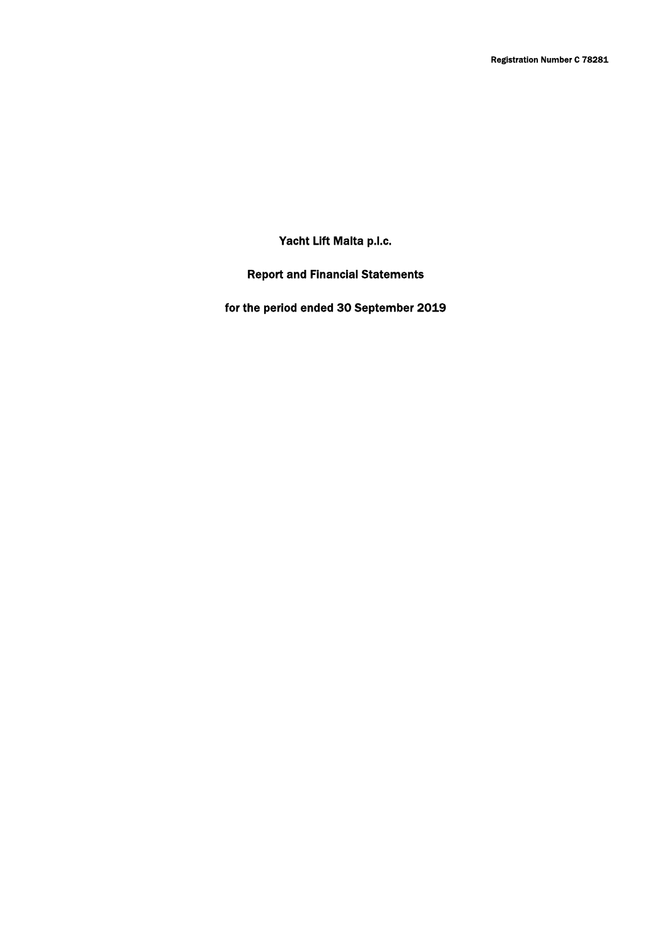Yacht Lift Malta p.l.c.

Report and Financial Statements

for the period ended 30 September 2019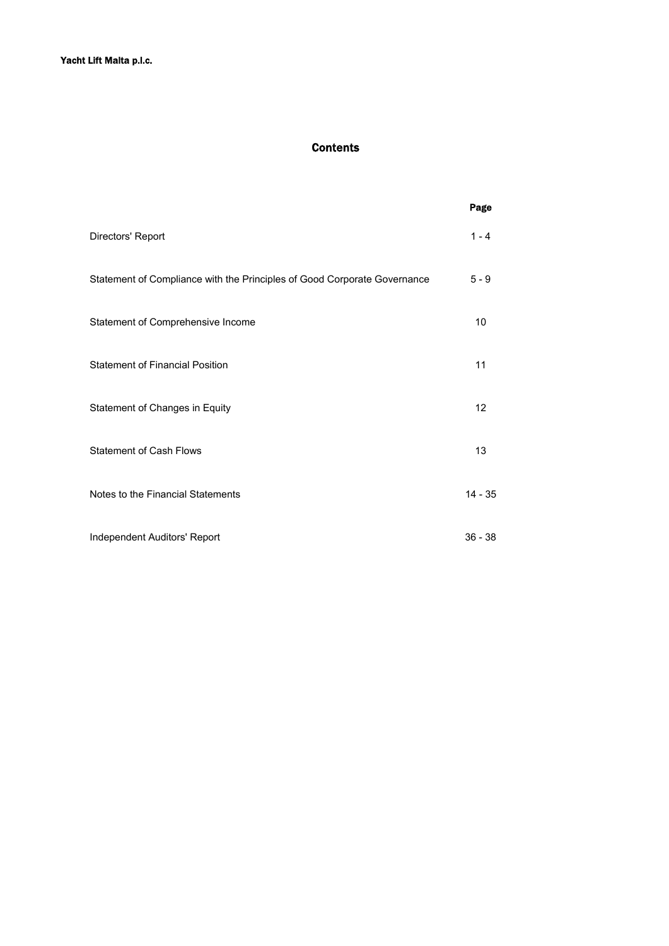# Contents

|                                                                          | Page      |
|--------------------------------------------------------------------------|-----------|
| Directors' Report                                                        | $1 - 4$   |
| Statement of Compliance with the Principles of Good Corporate Governance | $5 - 9$   |
| Statement of Comprehensive Income                                        | 10        |
| <b>Statement of Financial Position</b>                                   | 11        |
| Statement of Changes in Equity                                           | 12        |
| <b>Statement of Cash Flows</b>                                           | 13        |
| Notes to the Financial Statements                                        | $14 - 35$ |
| Independent Auditors' Report                                             | $36 - 38$ |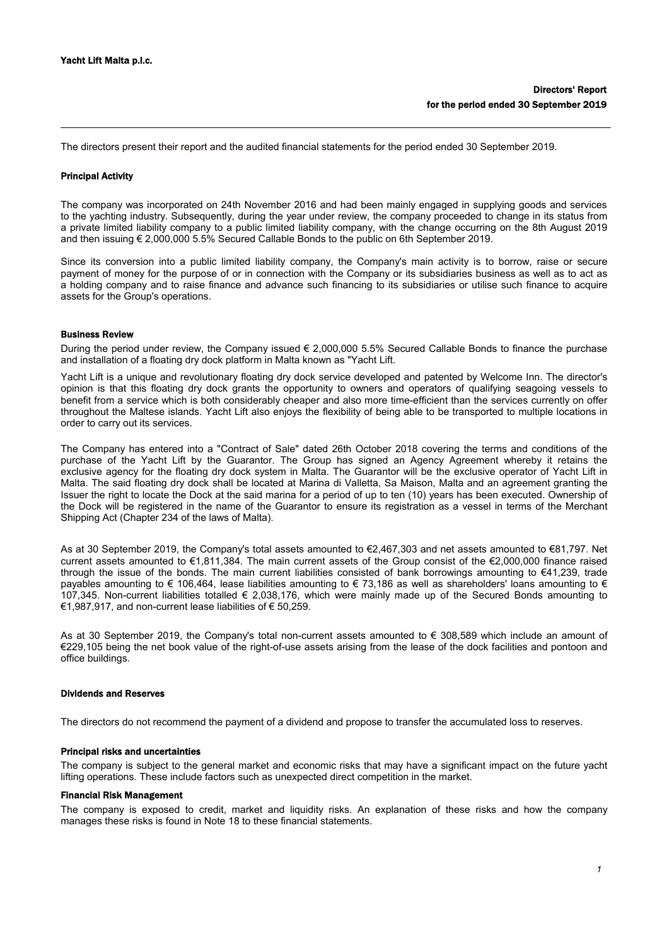The directors present their report and the audited financial statements for the period ended 30 September 2019.

#### Principal Activity

The company was incorporated on 24th November 2016 and had been mainly engaged in supplying goods and services to the yachting industry. Subsequently, during the year under review, the company proceeded to change in its status from a private limited liability company to a public limited liability company, with the change occurring on the 8th August 2019 and then issuing € 2,000,000 5.5% Secured Callable Bonds to the public on 6th September 2019.

Since its conversion into a public limited liability company, the Company's main activity is to borrow, raise or secure payment of money for the purpose of or in connection with the Company or its subsidiaries business as well as to act as a holding company and to raise finance and advance such financing to its subsidiaries or utilise such finance to acquire assets for the Group's operations.

## Business Review

During the period under review, the Company issued € 2,000,000 5.5% Secured Callable Bonds to finance the purchase and installation of a floating dry dock platform in Malta known as "Yacht Lift.

Yacht Lift is a unique and revolutionary floating dry dock service developed and patented by Welcome Inn. The director's opinion is that this floating dry dock grants the opportunity to owners and operators of qualifying seagoing vessels to benefit from a service which is both considerably cheaper and also more time-efficient than the services currently on offer throughout the Maltese islands. Yacht Lift also enjoys the flexibility of being able to be transported to multiple locations in order to carry out its services.

The Company has entered into a "Contract of Sale" dated 26th October 2018 covering the terms and conditions of the purchase of the Yacht Lift by the Guarantor. The Group has signed an Agency Agreement whereby it retains the exclusive agency for the floating dry dock system in Malta. The Guarantor will be the exclusive operator of Yacht Lift in Malta. The said floating dry dock shall be located at Marina di Valletta, Sa Maison, Malta and an agreement granting the Issuer the right to locate the Dock at the said marina for a period of up to ten (10) years has been executed. Ownership of the Dock will be registered in the name of the Guarantor to ensure its registration as a vessel in terms of the Merchant Shipping Act (Chapter 234 of the laws of Malta).

As at 30 September 2019, the Company's total assets amounted to €2,467,303 and net assets amounted to €81,797. Net current assets amounted to €1,811,384. The main current assets of the Group consist of the €2,000,000 finance raised through the issue of the bonds. The main current liabilities consisted of bank borrowings amounting to €41,239, trade payables amounting to  $\epsilon$  106,464, lease liabilities amounting to  $\epsilon$  73,186 as well as shareholders' loans amounting to  $\epsilon$ 107,345. Non-current liabilities totalled € 2,038,176, which were mainly made up of the Secured Bonds amounting to €1,987,917, and non-current lease liabilities of € 50,259.

As at 30 September 2019, the Company's total non-current assets amounted to € 308,589 which include an amount of €229,105 being the net book value of the right-of-use assets arising from the lease of the dock facilities and pontoon and office buildings.

## Dividends and Reserves

The directors do not recommend the payment of a dividend and propose to transfer the accumulated loss to reserves.

#### Principal risks and uncertainties

The company is subject to the general market and economic risks that may have a significant impact on the future yacht lifting operations. These include factors such as unexpected direct competition in the market.

## Financial Risk Management

The company is exposed to credit, market and liquidity risks. An explanation of these risks and how the company manages these risks is found in Note 18 to these financial statements.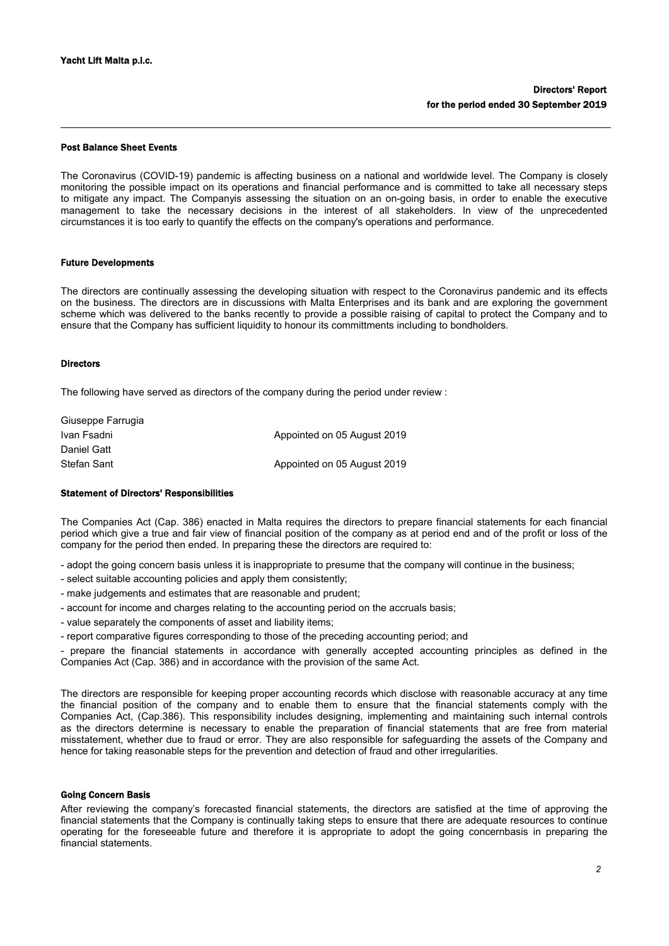#### Post Balance Sheet Events

The Coronavirus (COVID-19) pandemic is affecting business on a national and worldwide level. The Company is closely monitoring the possible impact on its operations and financial performance and is committed to take all necessary steps to mitigate any impact. The Companyis assessing the situation on an on-going basis, in order to enable the executive management to take the necessary decisions in the interest of all stakeholders. In view of the unprecedented circumstances it is too early to quantify the effects on the company's operations and performance.

#### Future Developments

The directors are continually assessing the developing situation with respect to the Coronavirus pandemic and its effects on the business. The directors are in discussions with Malta Enterprises and its bank and are exploring the government scheme which was delivered to the banks recently to provide a possible raising of capital to protect the Company and to ensure that the Company has sufficient liquidity to honour its committments including to bondholders.

## Directors

The following have served as directors of the company during the period under review :

| Giuseppe Farrugia |                             |
|-------------------|-----------------------------|
| Ivan Fsadni       | Appointed on 05 August 2019 |
| Daniel Gatt       |                             |
| Stefan Sant       | Appointed on 05 August 2019 |

### Statement of Directors' Responsibilities

The Companies Act (Cap. 386) enacted in Malta requires the directors to prepare financial statements for each financial period which give a true and fair view of financial position of the company as at period end and of the profit or loss of the company for the period then ended. In preparing these the directors are required to:

- adopt the going concern basis unless it is inappropriate to presume that the company will continue in the business;

- select suitable accounting policies and apply them consistently;
- make judgements and estimates that are reasonable and prudent;
- account for income and charges relating to the accounting period on the accruals basis;
- value separately the components of asset and liability items;
- report comparative figures corresponding to those of the preceding accounting period; and

- prepare the financial statements in accordance with generally accepted accounting principles as defined in the Companies Act (Cap. 386) and in accordance with the provision of the same Act.

The directors are responsible for keeping proper accounting records which disclose with reasonable accuracy at any time the financial position of the company and to enable them to ensure that the financial statements comply with the Companies Act, (Cap.386). This responsibility includes designing, implementing and maintaining such internal controls as the directors determine is necessary to enable the preparation of financial statements that are free from material misstatement, whether due to fraud or error. They are also responsible for safeguarding the assets of the Company and hence for taking reasonable steps for the prevention and detection of fraud and other irregularities.

#### Going Concern Basis

After reviewing the company's forecasted financial statements, the directors are satisfied at the time of approving the financial statements that the Company is continually taking steps to ensure that there are adequate resources to continue operating for the foreseeable future and therefore it is appropriate to adopt the going concernbasis in preparing the financial statements.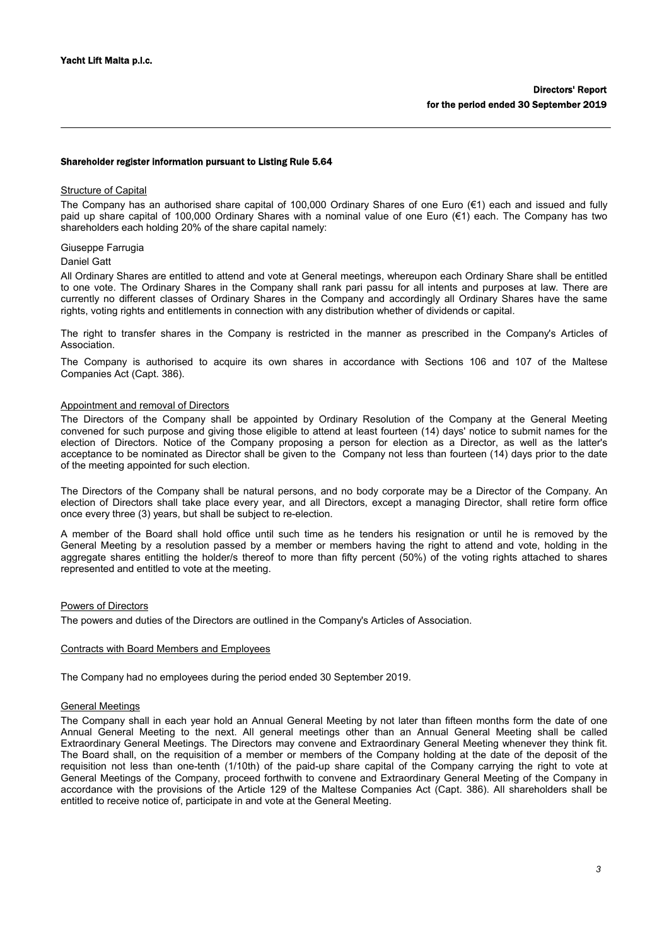#### Shareholder register information pursuant to Listing Rule 5.64

### Structure of Capital

The Company has an authorised share capital of 100,000 Ordinary Shares of one Euro (€1) each and issued and fully paid up share capital of 100,000 Ordinary Shares with a nominal value of one Euro (€1) each. The Company has two shareholders each holding 20% of the share capital namely:

#### Giuseppe Farrugia

#### Daniel Gatt

All Ordinary Shares are entitled to attend and vote at General meetings, whereupon each Ordinary Share shall be entitled to one vote. The Ordinary Shares in the Company shall rank pari passu for all intents and purposes at law. There are currently no different classes of Ordinary Shares in the Company and accordingly all Ordinary Shares have the same rights, voting rights and entitlements in connection with any distribution whether of dividends or capital.

The right to transfer shares in the Company is restricted in the manner as prescribed in the Company's Articles of Association.

The Company is authorised to acquire its own shares in accordance with Sections 106 and 107 of the Maltese Companies Act (Capt. 386).

#### Appointment and removal of Directors

The Directors of the Company shall be appointed by Ordinary Resolution of the Company at the General Meeting convened for such purpose and giving those eligible to attend at least fourteen (14) days' notice to submit names for the election of Directors. Notice of the Company proposing a person for election as a Director, as well as the latter's acceptance to be nominated as Director shall be given to the Company not less than fourteen (14) days prior to the date of the meeting appointed for such election.

The Directors of the Company shall be natural persons, and no body corporate may be a Director of the Company. An election of Directors shall take place every year, and all Directors, except a managing Director, shall retire form office once every three (3) years, but shall be subject to re-election.

A member of the Board shall hold office until such time as he tenders his resignation or until he is removed by the General Meeting by a resolution passed by a member or members having the right to attend and vote, holding in the aggregate shares entitling the holder/s thereof to more than fifty percent (50%) of the voting rights attached to shares represented and entitled to vote at the meeting.

#### Powers of Directors

The powers and duties of the Directors are outlined in the Company's Articles of Association.

#### Contracts with Board Members and Employees

The Company had no employees during the period ended 30 September 2019.

## General Meetings

The Company shall in each year hold an Annual General Meeting by not later than fifteen months form the date of one Annual General Meeting to the next. All general meetings other than an Annual General Meeting shall be called Extraordinary General Meetings. The Directors may convene and Extraordinary General Meeting whenever they think fit. The Board shall, on the requisition of a member or members of the Company holding at the date of the deposit of the requisition not less than one-tenth (1/10th) of the paid-up share capital of the Company carrying the right to vote at General Meetings of the Company, proceed forthwith to convene and Extraordinary General Meeting of the Company in accordance with the provisions of the Article 129 of the Maltese Companies Act (Capt. 386). All shareholders shall be entitled to receive notice of, participate in and vote at the General Meeting.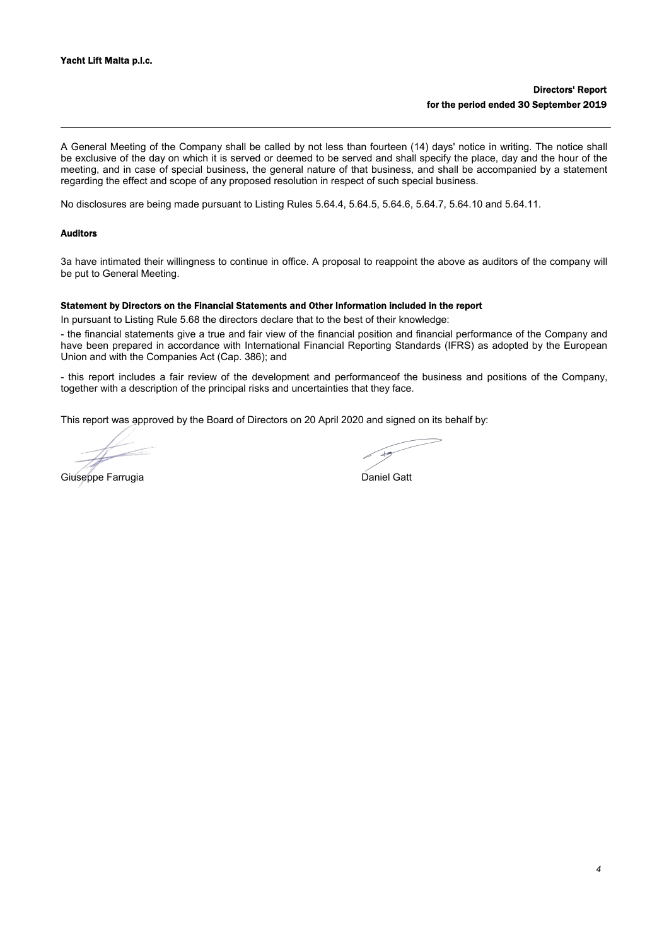A General Meeting of the Company shall be called by not less than fourteen (14) days' notice in writing. The notice shall be exclusive of the day on which it is served or deemed to be served and shall specify the place, day and the hour of the meeting, and in case of special business, the general nature of that business, and shall be accompanied by a statement regarding the effect and scope of any proposed resolution in respect of such special business.

No disclosures are being made pursuant to Listing Rules 5.64.4, 5.64.5, 5.64.6, 5.64.7, 5.64.10 and 5.64.11.

### Auditors

3a have intimated their willingness to continue in office. A proposal to reappoint the above as auditors of the company will be put to General Meeting.

#### Statement by Directors on the Financial Statements and Other Information included in the report

In pursuant to Listing Rule 5.68 the directors declare that to the best of their knowledge:

- the financial statements give a true and fair view of the financial position and financial performance of the Company and have been prepared in accordance with International Financial Reporting Standards (IFRS) as adopted by the European Union and with the Companies Act (Cap. 386); and

- this report includes a fair review of the development and performanceof the business and positions of the Company, together with a description of the principal risks and uncertainties that they face.

This report was approved by the Board of Directors on 20 April 2020 and signed on its behalf by:

Giuseppe Farrugia **Daniel Gatt**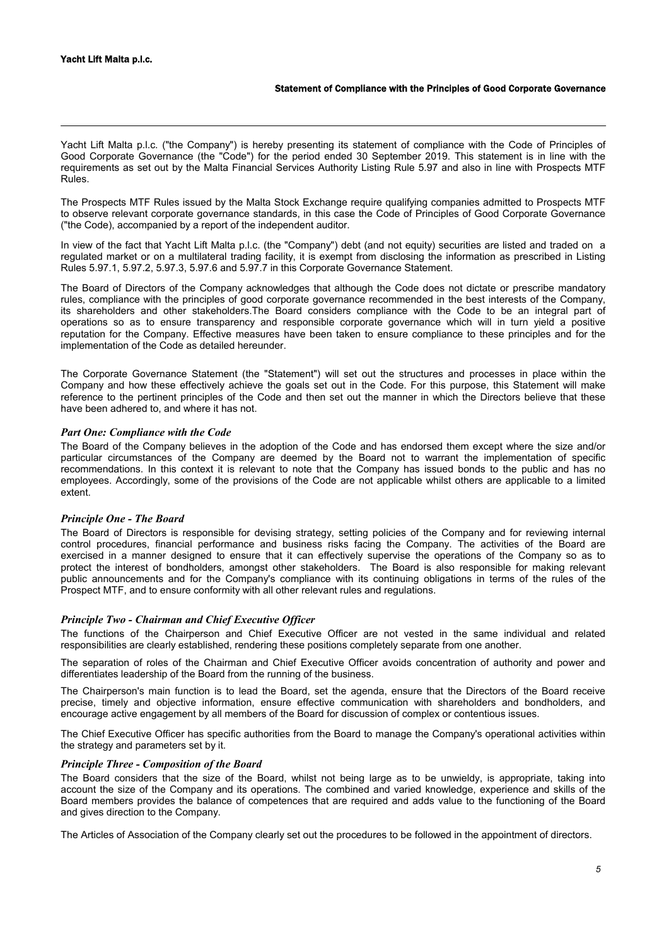Yacht Lift Malta p.l.c. ("the Company") is hereby presenting its statement of compliance with the Code of Principles of Good Corporate Governance (the "Code") for the period ended 30 September 2019. This statement is in line with the requirements as set out by the Malta Financial Services Authority Listing Rule 5.97 and also in line with Prospects MTF Rules.

The Prospects MTF Rules issued by the Malta Stock Exchange require qualifying companies admitted to Prospects MTF to observe relevant corporate governance standards, in this case the Code of Principles of Good Corporate Governance ("the Code), accompanied by a report of the independent auditor.

In view of the fact that Yacht Lift Malta p.l.c. (the "Company") debt (and not equity) securities are listed and traded on a regulated market or on a multilateral trading facility, it is exempt from disclosing the information as prescribed in Listing Rules 5.97.1, 5.97.2, 5.97.3, 5.97.6 and 5.97.7 in this Corporate Governance Statement.

The Board of Directors of the Company acknowledges that although the Code does not dictate or prescribe mandatory rules, compliance with the principles of good corporate governance recommended in the best interests of the Company, its shareholders and other stakeholders.The Board considers compliance with the Code to be an integral part of operations so as to ensure transparency and responsible corporate governance which will in turn yield a positive reputation for the Company. Effective measures have been taken to ensure compliance to these principles and for the implementation of the Code as detailed hereunder.

The Corporate Governance Statement (the "Statement") will set out the structures and processes in place within the Company and how these effectively achieve the goals set out in the Code. For this purpose, this Statement will make reference to the pertinent principles of the Code and then set out the manner in which the Directors believe that these have been adhered to, and where it has not.

## *Part One: Compliance with the Code*

The Board of the Company believes in the adoption of the Code and has endorsed them except where the size and/or particular circumstances of the Company are deemed by the Board not to warrant the implementation of specific recommendations. In this context it is relevant to note that the Company has issued bonds to the public and has no employees. Accordingly, some of the provisions of the Code are not applicable whilst others are applicable to a limited extent.

#### *Principle One - The Board*

The Board of Directors is responsible for devising strategy, setting policies of the Company and for reviewing internal control procedures, financial performance and business risks facing the Company. The activities of the Board are exercised in a manner designed to ensure that it can effectively supervise the operations of the Company so as to protect the interest of bondholders, amongst other stakeholders. The Board is also responsible for making relevant public announcements and for the Company's compliance with its continuing obligations in terms of the rules of the Prospect MTF, and to ensure conformity with all other relevant rules and regulations.

## *Principle Two - Chairman and Chief Executive Officer*

The functions of the Chairperson and Chief Executive Officer are not vested in the same individual and related responsibilities are clearly established, rendering these positions completely separate from one another.

The separation of roles of the Chairman and Chief Executive Officer avoids concentration of authority and power and differentiates leadership of the Board from the running of the business.

The Chairperson's main function is to lead the Board, set the agenda, ensure that the Directors of the Board receive precise, timely and objective information, ensure effective communication with shareholders and bondholders, and encourage active engagement by all members of the Board for discussion of complex or contentious issues.

The Chief Executive Officer has specific authorities from the Board to manage the Company's operational activities within the strategy and parameters set by it.

## *Principle Three - Composition of the Board*

The Board considers that the size of the Board, whilst not being large as to be unwieldy, is appropriate, taking into account the size of the Company and its operations. The combined and varied knowledge, experience and skills of the Board members provides the balance of competences that are required and adds value to the functioning of the Board and gives direction to the Company.

The Articles of Association of the Company clearly set out the procedures to be followed in the appointment of directors.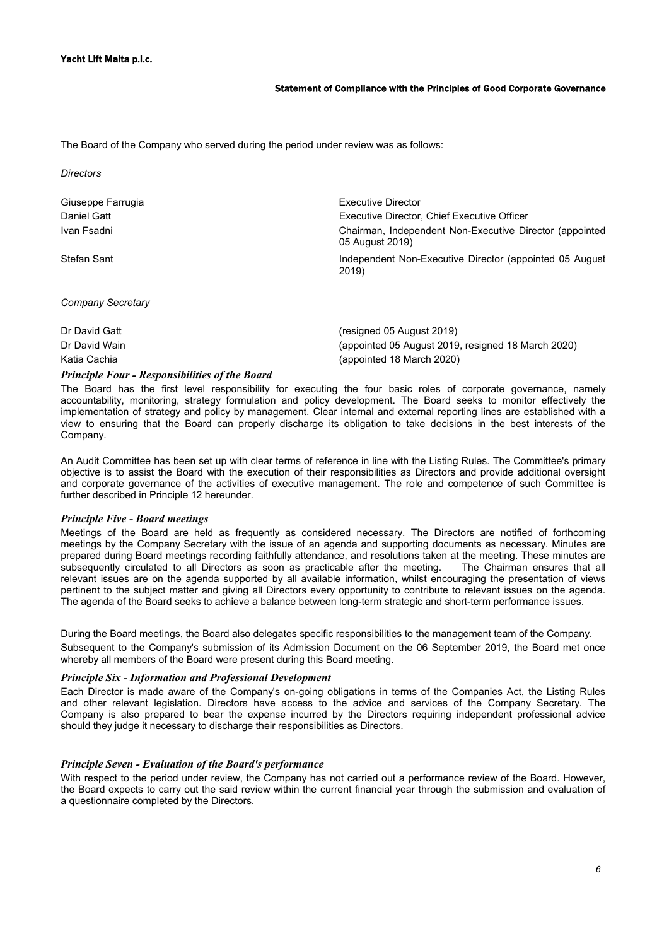*Directors*

The Board of the Company who served during the period under review was as follows:

Katia Cachia (appointed 18 March 2020)

| Giuseppe Farrugia | Executive Director                                                         |
|-------------------|----------------------------------------------------------------------------|
| Daniel Gatt       | Executive Director, Chief Executive Officer                                |
| Ivan Fsadni       | Chairman, Independent Non-Executive Director (appointed<br>05 August 2019) |
| Stefan Sant       | Independent Non-Executive Director (appointed 05 August)<br>2019)          |
| Company Secretary |                                                                            |
| Dr David Gatt     | (resigned 05 August 2019)                                                  |
| Dr David Wain     | (appointed 05 August 2019, resigned 18 March 2020)                         |

*Principle Four - Responsibilities of the Board*

The Board has the first level responsibility for executing the four basic roles of corporate governance, namely accountability, monitoring, strategy formulation and policy development. The Board seeks to monitor effectively the implementation of strategy and policy by management. Clear internal and external reporting lines are established with a view to ensuring that the Board can properly discharge its obligation to take decisions in the best interests of the Company.

An Audit Committee has been set up with clear terms of reference in line with the Listing Rules. The Committee's primary objective is to assist the Board with the execution of their responsibilities as Directors and provide additional oversight and corporate governance of the activities of executive management. The role and competence of such Committee is further described in Principle 12 hereunder.

## *Principle Five - Board meetings*

Meetings of the Board are held as frequently as considered necessary. The Directors are notified of forthcoming meetings by the Company Secretary with the issue of an agenda and supporting documents as necessary. Minutes are prepared during Board meetings recording faithfully attendance, and resolutions taken at the meeting. These minutes are subsequently circulated to all Directors as soon as practicable after the meeting. The Chairman ensures that all relevant issues are on the agenda supported by all available information, whilst encouraging the presentation of views pertinent to the subject matter and giving all Directors every opportunity to contribute to relevant issues on the agenda. The agenda of the Board seeks to achieve a balance between long-term strategic and short-term performance issues.

During the Board meetings, the Board also delegates specific responsibilities to the management team of the Company. Subsequent to the Company's submission of its Admission Document on the 06 September 2019, the Board met once whereby all members of the Board were present during this Board meeting.

## *Principle Six - Information and Professional Development*

Each Director is made aware of the Company's on-going obligations in terms of the Companies Act, the Listing Rules and other relevant legislation. Directors have access to the advice and services of the Company Secretary. The Company is also prepared to bear the expense incurred by the Directors requiring independent professional advice should they judge it necessary to discharge their responsibilities as Directors.

## *Principle Seven - Evaluation of the Board's performance*

With respect to the period under review, the Company has not carried out a performance review of the Board. However, the Board expects to carry out the said review within the current financial year through the submission and evaluation of a questionnaire completed by the Directors.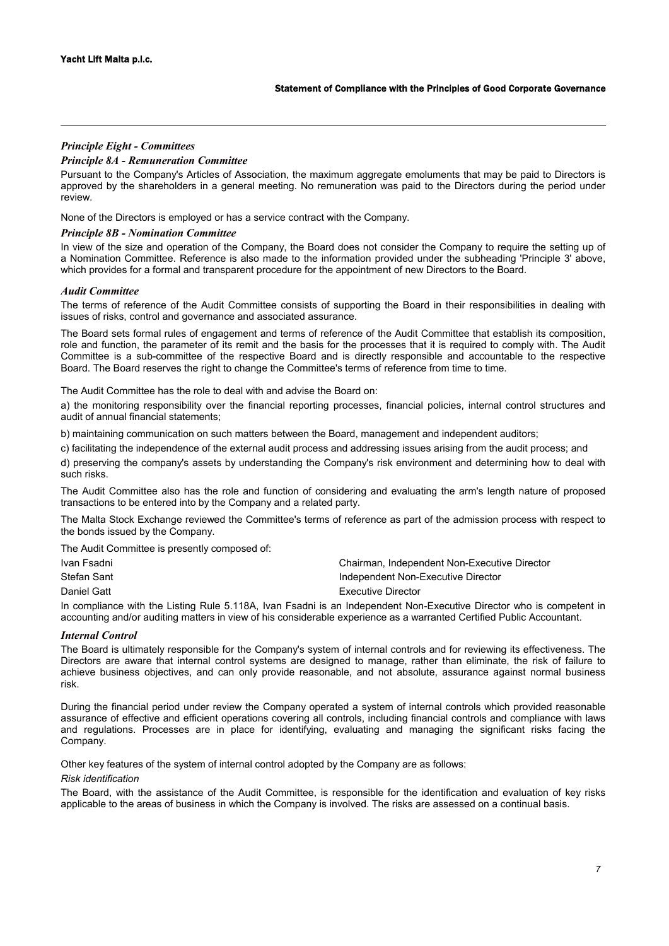# *Principle Eight - Committees*

# *Principle 8A - Remuneration Committee*

Pursuant to the Company's Articles of Association, the maximum aggregate emoluments that may be paid to Directors is approved by the shareholders in a general meeting. No remuneration was paid to the Directors during the period under review.

None of the Directors is employed or has a service contract with the Company.

## *Principle 8B - Nomination Committee*

In view of the size and operation of the Company, the Board does not consider the Company to require the setting up of a Nomination Committee. Reference is also made to the information provided under the subheading 'Principle 3' above, which provides for a formal and transparent procedure for the appointment of new Directors to the Board.

## *Audit Committee*

The terms of reference of the Audit Committee consists of supporting the Board in their responsibilities in dealing with issues of risks, control and governance and associated assurance.

The Board sets formal rules of engagement and terms of reference of the Audit Committee that establish its composition, role and function, the parameter of its remit and the basis for the processes that it is required to comply with. The Audit Committee is a sub-committee of the respective Board and is directly responsible and accountable to the respective Board. The Board reserves the right to change the Committee's terms of reference from time to time.

The Audit Committee has the role to deal with and advise the Board on:

a) the monitoring responsibility over the financial reporting processes, financial policies, internal control structures and audit of annual financial statements;

b) maintaining communication on such matters between the Board, management and independent auditors;

c) facilitating the independence of the external audit process and addressing issues arising from the audit process; and

d) preserving the company's assets by understanding the Company's risk environment and determining how to deal with such risks.

The Audit Committee also has the role and function of considering and evaluating the arm's length nature of proposed transactions to be entered into by the Company and a related party.

The Malta Stock Exchange reviewed the Committee's terms of reference as part of the admission process with respect to the bonds issued by the Company.

The Audit Committee is presently composed of:

| Ivan Fsadni |  |                                    | Chairman, Independent Non-Executive Director |
|-------------|--|------------------------------------|----------------------------------------------|
| Stefan Sant |  | Independent Non-Executive Director |                                              |
| Daniel Gatt |  | Executive Director                 |                                              |
|             |  |                                    |                                              |

In compliance with the Listing Rule 5.118A, Ivan Fsadni is an Independent Non-Executive Director who is competent in accounting and/or auditing matters in view of his considerable experience as a warranted Certified Public Accountant.

## *Internal Control*

The Board is ultimately responsible for the Company's system of internal controls and for reviewing its effectiveness. The Directors are aware that internal control systems are designed to manage, rather than eliminate, the risk of failure to achieve business objectives, and can only provide reasonable, and not absolute, assurance against normal business risk.

During the financial period under review the Company operated a system of internal controls which provided reasonable assurance of effective and efficient operations covering all controls, including financial controls and compliance with laws and regulations. Processes are in place for identifying, evaluating and managing the significant risks facing the Company.

Other key features of the system of internal control adopted by the Company are as follows:

#### *Risk identification*

The Board, with the assistance of the Audit Committee, is responsible for the identification and evaluation of key risks applicable to the areas of business in which the Company is involved. The risks are assessed on a continual basis.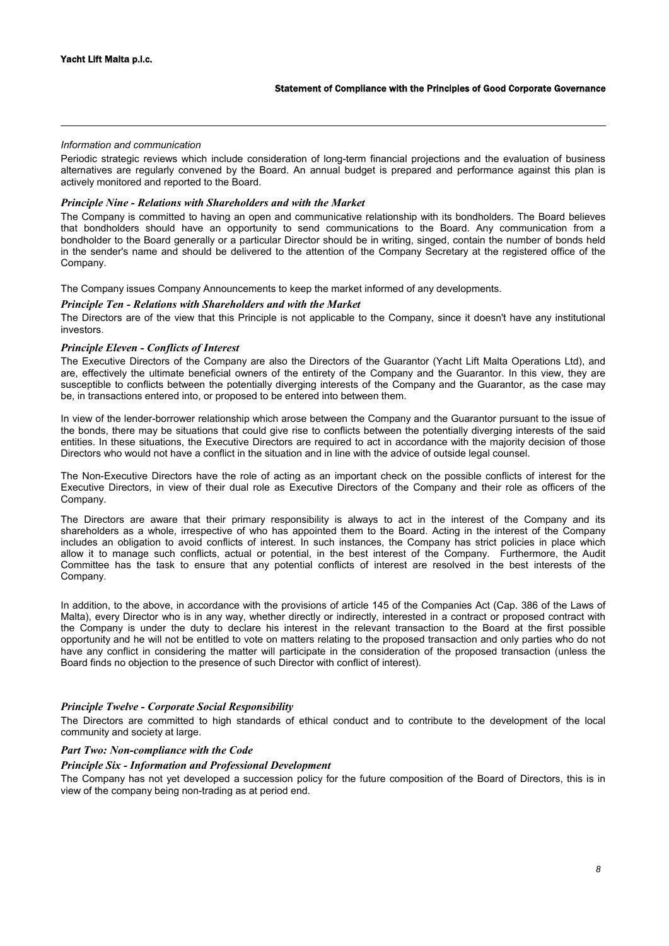## *Information and communication*

Periodic strategic reviews which include consideration of long-term financial projections and the evaluation of business alternatives are regularly convened by the Board. An annual budget is prepared and performance against this plan is actively monitored and reported to the Board.

## *Principle Nine - Relations with Shareholders and with the Market*

The Company is committed to having an open and communicative relationship with its bondholders. The Board believes that bondholders should have an opportunity to send communications to the Board. Any communication from a bondholder to the Board generally or a particular Director should be in writing, singed, contain the number of bonds held in the sender's name and should be delivered to the attention of the Company Secretary at the registered office of the Company.

The Company issues Company Announcements to keep the market informed of any developments.

# *Principle Ten - Relations with Shareholders and with the Market*

The Directors are of the view that this Principle is not applicable to the Company, since it doesn't have any institutional investors.

## *Principle Eleven - Conflicts of Interest*

The Executive Directors of the Company are also the Directors of the Guarantor (Yacht Lift Malta Operations Ltd), and are, effectively the ultimate beneficial owners of the entirety of the Company and the Guarantor. In this view, they are susceptible to conflicts between the potentially diverging interests of the Company and the Guarantor, as the case may be, in transactions entered into, or proposed to be entered into between them.

In view of the lender-borrower relationship which arose between the Company and the Guarantor pursuant to the issue of the bonds, there may be situations that could give rise to conflicts between the potentially diverging interests of the said entities. In these situations, the Executive Directors are required to act in accordance with the majority decision of those Directors who would not have a conflict in the situation and in line with the advice of outside legal counsel.

The Non-Executive Directors have the role of acting as an important check on the possible conflicts of interest for the Executive Directors, in view of their dual role as Executive Directors of the Company and their role as officers of the Company.

The Directors are aware that their primary responsibility is always to act in the interest of the Company and its shareholders as a whole, irrespective of who has appointed them to the Board. Acting in the interest of the Company includes an obligation to avoid conflicts of interest. In such instances, the Company has strict policies in place which allow it to manage such conflicts, actual or potential, in the best interest of the Company. Furthermore, the Audit Committee has the task to ensure that any potential conflicts of interest are resolved in the best interests of the Company.

In addition, to the above, in accordance with the provisions of article 145 of the Companies Act (Cap. 386 of the Laws of Malta), every Director who is in any way, whether directly or indirectly, interested in a contract or proposed contract with the Company is under the duty to declare his interest in the relevant transaction to the Board at the first possible opportunity and he will not be entitled to vote on matters relating to the proposed transaction and only parties who do not have any conflict in considering the matter will participate in the consideration of the proposed transaction (unless the Board finds no objection to the presence of such Director with conflict of interest).

## *Principle Twelve - Corporate Social Responsibility*

The Directors are committed to high standards of ethical conduct and to contribute to the development of the local community and society at large.

# *Part Two: Non-compliance with the Code*

### *Principle Six - Information and Professional Development*

The Company has not yet developed a succession policy for the future composition of the Board of Directors, this is in view of the company being non-trading as at period end.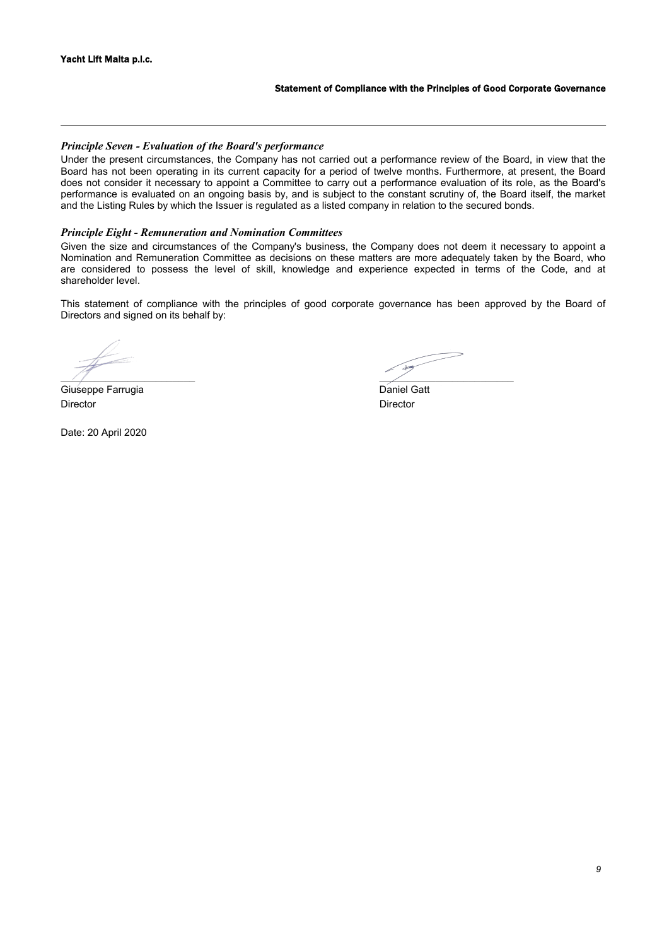### Statement of Compliance with the Principles of Good Corporate Governance

## *Principle Seven - Evaluation of the Board's performance*

Under the present circumstances, the Company has not carried out a performance review of the Board, in view that the Board has not been operating in its current capacity for a period of twelve months. Furthermore, at present, the Board does not consider it necessary to appoint a Committee to carry out a performance evaluation of its role, as the Board's performance is evaluated on an ongoing basis by, and is subject to the constant scrutiny of, the Board itself, the market and the Listing Rules by which the Issuer is regulated as a listed company in relation to the secured bonds.

## *Principle Eight - Remuneration and Nomination Committees*

Given the size and circumstances of the Company's business, the Company does not deem it necessary to appoint a Nomination and Remuneration Committee as decisions on these matters are more adequately taken by the Board, who are considered to possess the level of skill, knowledge and experience expected in terms of the Code, and at shareholder level.

This statement of compliance with the principles of good corporate governance has been approved by the Board of Directors and signed on its behalf by:

Giuseppe Farrugia **Daniel Gatt** Director Director

Date: 20 April 2020

 $\mathcal{A}$  , and the set of the set of the set of the set of the set of the set of the set of the set of the set of the set of the set of the set of the set of the set of the set of the set of the set of the set of the set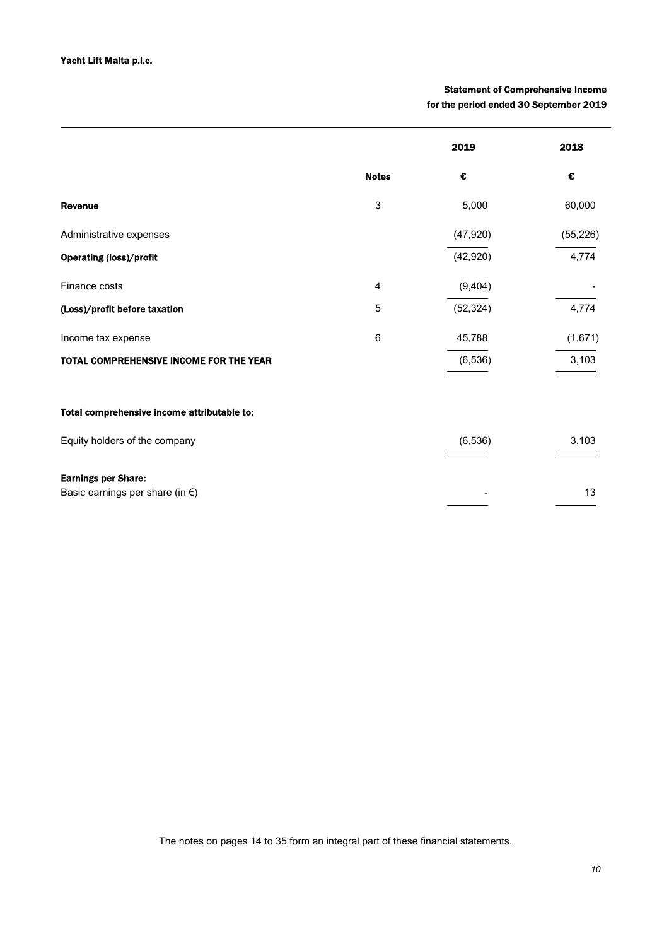# Statement of Comprehensive Income for the period ended 30 September 2019

|                                                                         |              | 2019      | 2018      |
|-------------------------------------------------------------------------|--------------|-----------|-----------|
|                                                                         | <b>Notes</b> | €         | €         |
| <b>Revenue</b>                                                          | 3            | 5,000     | 60,000    |
| Administrative expenses                                                 |              | (47, 920) | (55, 226) |
| <b>Operating (loss)/profit</b>                                          |              | (42, 920) | 4,774     |
| Finance costs                                                           | 4            | (9,404)   |           |
| (Loss)/profit before taxation                                           | 5            | (52, 324) | 4,774     |
| Income tax expense                                                      | 6            | 45,788    | (1,671)   |
| <b>TOTAL COMPREHENSIVE INCOME FOR THE YEAR</b>                          |              | (6, 536)  | 3,103     |
|                                                                         |              |           |           |
| Total comprehensive income attributable to:                             |              |           |           |
| Equity holders of the company                                           |              | (6, 536)  | 3,103     |
| <b>Earnings per Share:</b><br>Basic earnings per share (in $\epsilon$ ) |              |           | 13        |

The notes on pages 14 to 35 form an integral part of these financial statements.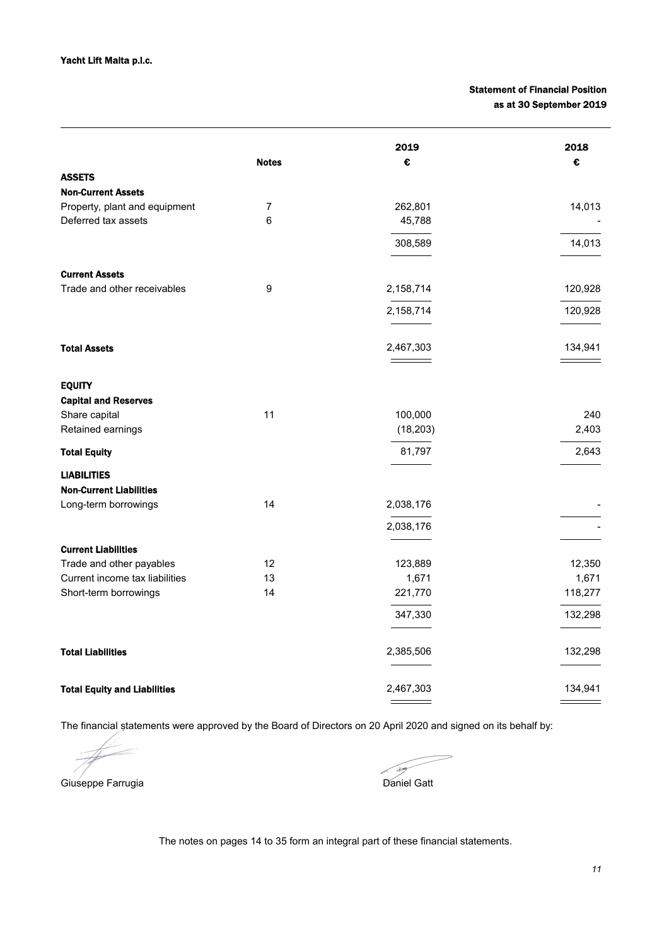# Statement of Financial Position as at 30 September 2019

|                                     |                | 2019      | 2018    |
|-------------------------------------|----------------|-----------|---------|
|                                     | <b>Notes</b>   | €         | €       |
| <b>ASSETS</b>                       |                |           |         |
| <b>Non-Current Assets</b>           |                |           |         |
| Property, plant and equipment       | $\overline{7}$ | 262,801   | 14,013  |
| Deferred tax assets                 | 6              | 45,788    |         |
|                                     |                | 308,589   | 14,013  |
| <b>Current Assets</b>               |                |           |         |
| Trade and other receivables         | 9              | 2,158,714 | 120,928 |
|                                     |                | 2,158,714 | 120,928 |
|                                     |                |           |         |
| <b>Total Assets</b>                 |                | 2,467,303 | 134,941 |
|                                     |                |           |         |
| <b>EQUITY</b>                       |                |           |         |
| <b>Capital and Reserves</b>         |                |           |         |
| Share capital                       | 11             | 100,000   | 240     |
| Retained earnings                   |                | (18, 203) | 2,403   |
| <b>Total Equity</b>                 |                | 81,797    | 2,643   |
| <b>LIABILITIES</b>                  |                |           |         |
| <b>Non-Current Liabilities</b>      |                |           |         |
| Long-term borrowings                | 14             | 2,038,176 |         |
|                                     |                | 2,038,176 |         |
|                                     |                |           |         |
| <b>Current Liabilities</b>          |                |           |         |
| Trade and other payables            | 12             | 123,889   | 12,350  |
| Current income tax liabilities      | 13             | 1,671     | 1,671   |
| Short-term borrowings               | 14             | 221,770   | 118,277 |
|                                     |                | 347,330   | 132,298 |
| <b>Total Liabilities</b>            |                | 2,385,506 | 132,298 |
| <b>Total Equity and Liabilities</b> |                | 2,467,303 | 134,941 |
|                                     |                |           |         |

The financial statements were approved by the Board of Directors on 20 April 2020 and signed on its behalf by:

Giuseppe Farrugia Daniel Gatt

 $\overline{\mathcal{F}}$ 

The notes on pages 14 to 35 form an integral part of these financial statements.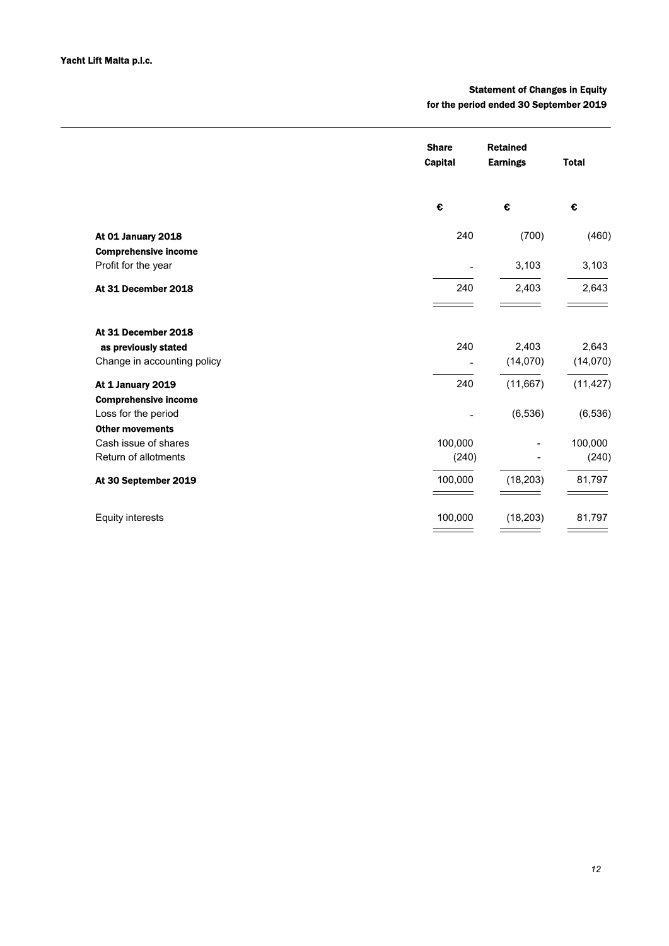# Statement of Changes in Equity for the period ended 30 September 2019

|                             | <b>Share</b><br><b>Capital</b> | <b>Retained</b><br><b>Earnings</b> | <b>Total</b> |
|-----------------------------|--------------------------------|------------------------------------|--------------|
|                             | €                              | €                                  | €            |
| At 01 January 2018          | 240                            | (700)                              | (460)        |
| <b>Comprehensive income</b> |                                |                                    |              |
| Profit for the year         |                                | 3,103                              | 3,103        |
| At 31 December 2018         | 240                            | 2,403                              | 2,643        |
| At 31 December 2018         |                                |                                    |              |
| as previously stated        | 240                            | 2,403                              | 2,643        |
| Change in accounting policy |                                | (14,070)                           | (14,070)     |
| At 1 January 2019           | 240                            | (11,667)                           | (11, 427)    |
| <b>Comprehensive income</b> |                                |                                    |              |
| Loss for the period         |                                | (6, 536)                           | (6, 536)     |
| <b>Other movements</b>      |                                |                                    |              |
| Cash issue of shares        | 100,000                        |                                    | 100,000      |
| Return of allotments        | (240)                          |                                    | (240)        |
| At 30 September 2019        | 100,000                        | (18, 203)                          | 81,797       |
| <b>Equity interests</b>     | 100,000                        | (18, 203)                          | 81,797       |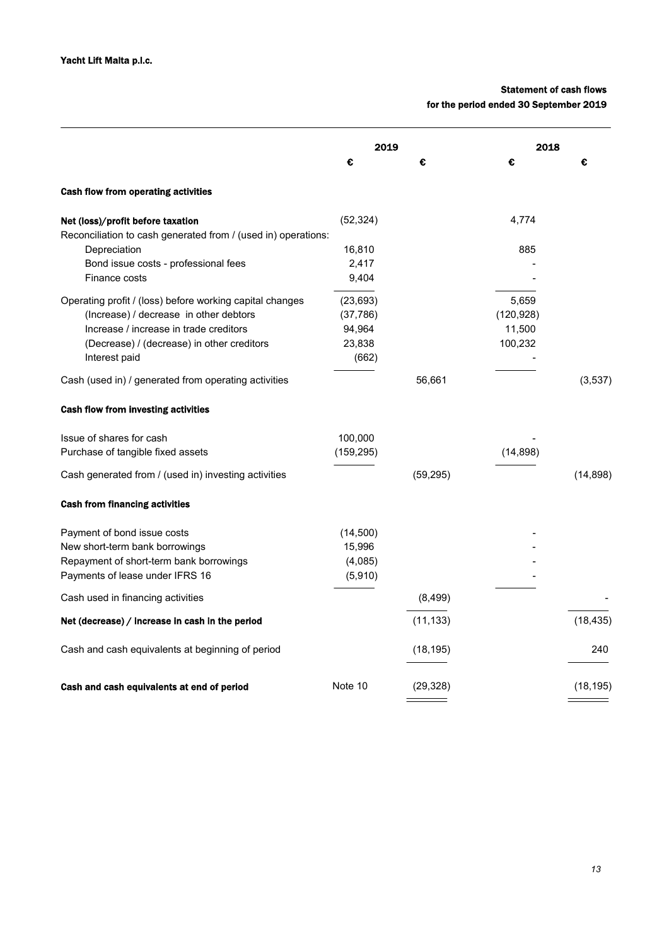# Statement of cash flows

for the period ended 30 September 2019

|                                                                                                    | 2019       |           | 2018       |           |
|----------------------------------------------------------------------------------------------------|------------|-----------|------------|-----------|
|                                                                                                    | €          | €         | €          | €         |
| Cash flow from operating activities                                                                |            |           |            |           |
| Net (loss)/profit before taxation<br>Reconciliation to cash generated from / (used in) operations: | (52, 324)  |           | 4,774      |           |
| Depreciation                                                                                       | 16,810     |           | 885        |           |
| Bond issue costs - professional fees                                                               | 2,417      |           |            |           |
| Finance costs                                                                                      | 9,404      |           |            |           |
| Operating profit / (loss) before working capital changes                                           | (23, 693)  |           | 5,659      |           |
| (Increase) / decrease in other debtors                                                             | (37, 786)  |           | (120, 928) |           |
| Increase / increase in trade creditors                                                             | 94,964     |           | 11,500     |           |
| (Decrease) / (decrease) in other creditors                                                         | 23,838     |           | 100,232    |           |
| Interest paid                                                                                      | (662)      |           |            |           |
| Cash (used in) / generated from operating activities                                               |            | 56,661    |            | (3,537)   |
| Cash flow from investing activities                                                                |            |           |            |           |
| Issue of shares for cash                                                                           | 100,000    |           |            |           |
| Purchase of tangible fixed assets                                                                  | (159, 295) |           | (14, 898)  |           |
| Cash generated from / (used in) investing activities                                               |            | (59, 295) |            | (14, 898) |
| <b>Cash from financing activities</b>                                                              |            |           |            |           |
| Payment of bond issue costs                                                                        | (14,500)   |           |            |           |
| New short-term bank borrowings                                                                     | 15,996     |           |            |           |
| Repayment of short-term bank borrowings                                                            | (4,085)    |           |            |           |
| Payments of lease under IFRS 16                                                                    | (5,910)    |           |            |           |
| Cash used in financing activities                                                                  |            | (8, 499)  |            |           |
| Net (decrease) / increase in cash in the period                                                    |            | (11, 133) |            | (18, 435) |
| Cash and cash equivalents at beginning of period                                                   |            | (18, 195) |            | 240       |
| Cash and cash equivalents at end of period                                                         | Note 10    | (29, 328) |            | (18, 195) |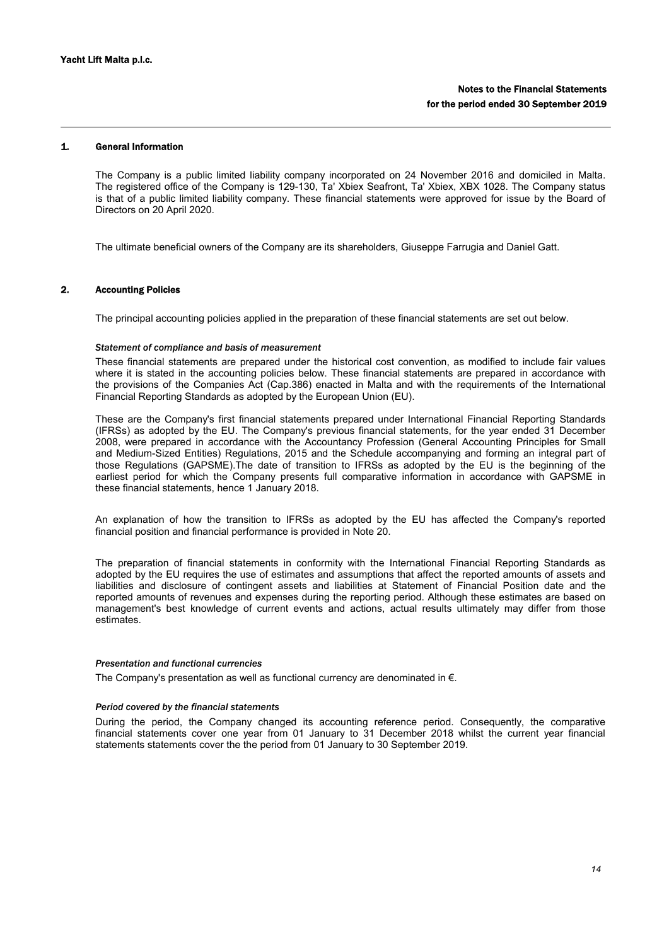# 1. General Information

The Company is a public limited liability company incorporated on 24 November 2016 and domiciled in Malta. The registered office of the Company is 129-130, Ta' Xbiex Seafront, Ta' Xbiex, XBX 1028. The Company status is that of a public limited liability company. These financial statements were approved for issue by the Board of Directors on 20 April 2020.

The ultimate beneficial owners of the Company are its shareholders, Giuseppe Farrugia and Daniel Gatt.

### 2. Accounting Policies

The principal accounting policies applied in the preparation of these financial statements are set out below.

### *Statement of compliance and basis of measurement*

These financial statements are prepared under the historical cost convention, as modified to include fair values where it is stated in the accounting policies below. These financial statements are prepared in accordance with the provisions of the Companies Act (Cap.386) enacted in Malta and with the requirements of the International Financial Reporting Standards as adopted by the European Union (EU).

These are the Company's first financial statements prepared under International Financial Reporting Standards (IFRSs) as adopted by the EU. The Company's previous financial statements, for the year ended 31 December 2008, were prepared in accordance with the Accountancy Profession (General Accounting Principles for Small and Medium-Sized Entities) Regulations, 2015 and the Schedule accompanying and forming an integral part of those Regulations (GAPSME).The date of transition to IFRSs as adopted by the EU is the beginning of the earliest period for which the Company presents full comparative information in accordance with GAPSME in these financial statements, hence 1 January 2018.

An explanation of how the transition to IFRSs as adopted by the EU has affected the Company's reported financial position and financial performance is provided in Note 20.

The preparation of financial statements in conformity with the International Financial Reporting Standards as adopted by the EU requires the use of estimates and assumptions that affect the reported amounts of assets and liabilities and disclosure of contingent assets and liabilities at Statement of Financial Position date and the reported amounts of revenues and expenses during the reporting period. Although these estimates are based on management's best knowledge of current events and actions, actual results ultimately may differ from those estimates.

#### *Presentation and functional currencies*

The Company's presentation as well as functional currency are denominated in  $\epsilon$ .

#### *Period covered by the financial statements*

During the period, the Company changed its accounting reference period. Consequently, the comparative financial statements cover one year from 01 January to 31 December 2018 whilst the current year financial statements statements cover the the period from 01 January to 30 September 2019.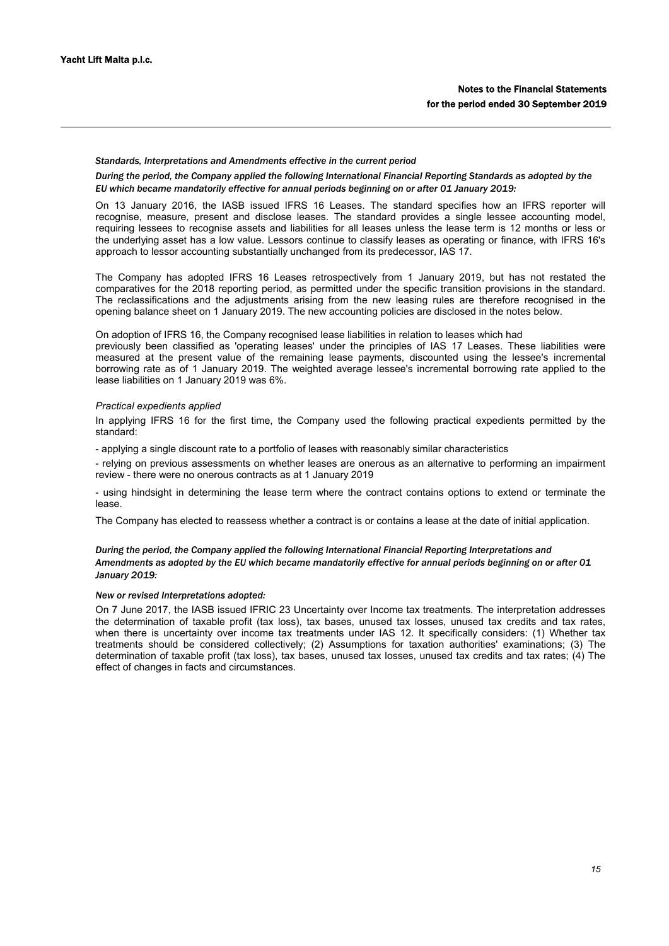#### *Standards, Interpretations and Amendments effective in the current period*

*During the period, the Company applied the following International Financial Reporting Standards as adopted by the EU which became mandatorily effective for annual periods beginning on or after 01 January 2019:*

On 13 January 2016, the IASB issued IFRS 16 Leases. The standard specifies how an IFRS reporter will recognise, measure, present and disclose leases. The standard provides a single lessee accounting model, requiring lessees to recognise assets and liabilities for all leases unless the lease term is 12 months or less or the underlying asset has a low value. Lessors continue to classify leases as operating or finance, with IFRS 16's approach to lessor accounting substantially unchanged from its predecessor, IAS 17.

The Company has adopted IFRS 16 Leases retrospectively from 1 January 2019, but has not restated the comparatives for the 2018 reporting period, as permitted under the specific transition provisions in the standard. The reclassifications and the adjustments arising from the new leasing rules are therefore recognised in the opening balance sheet on 1 January 2019. The new accounting policies are disclosed in the notes below.

On adoption of IFRS 16, the Company recognised lease liabilities in relation to leases which had

previously been classified as 'operating leases' under the principles of IAS 17 Leases. These liabilities were measured at the present value of the remaining lease payments, discounted using the lessee's incremental borrowing rate as of 1 January 2019. The weighted average lessee's incremental borrowing rate applied to the lease liabilities on 1 January 2019 was 6%.

## *Practical expedients applied*

In applying IFRS 16 for the first time, the Company used the following practical expedients permitted by the standard:

- applying a single discount rate to a portfolio of leases with reasonably similar characteristics

- relying on previous assessments on whether leases are onerous as an alternative to performing an impairment review - there were no onerous contracts as at 1 January 2019

- using hindsight in determining the lease term where the contract contains options to extend or terminate the lease.

The Company has elected to reassess whether a contract is or contains a lease at the date of initial application.

## *During the period, the Company applied the following International Financial Reporting Interpretations and Amendments as adopted by the EU which became mandatorily effective for annual periods beginning on or after 01 January 2019:*

### *New or revised Interpretations adopted:*

On 7 June 2017, the IASB issued IFRIC 23 Uncertainty over Income tax treatments. The interpretation addresses the determination of taxable profit (tax loss), tax bases, unused tax losses, unused tax credits and tax rates, when there is uncertainty over income tax treatments under IAS 12. It specifically considers: (1) Whether tax treatments should be considered collectively; (2) Assumptions for taxation authorities' examinations; (3) The determination of taxable profit (tax loss), tax bases, unused tax losses, unused tax credits and tax rates; (4) The effect of changes in facts and circumstances.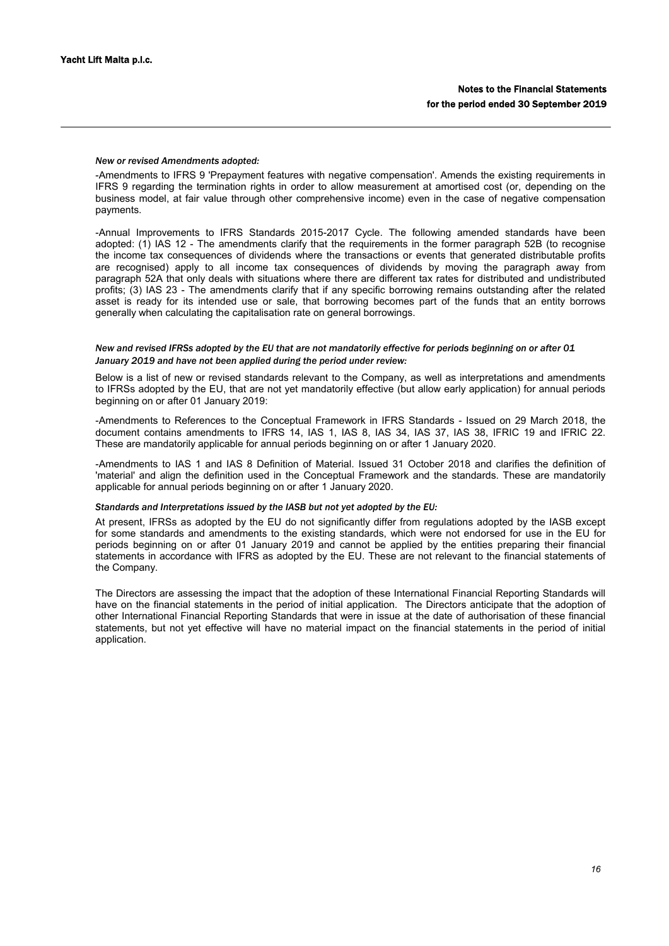#### *New or revised Amendments adopted:*

-Amendments to IFRS 9 'Prepayment features with negative compensation'. Amends the existing requirements in IFRS 9 regarding the termination rights in order to allow measurement at amortised cost (or, depending on the business model, at fair value through other comprehensive income) even in the case of negative compensation payments.

-Annual Improvements to IFRS Standards 2015-2017 Cycle. The following amended standards have been adopted: (1) IAS 12 - The amendments clarify that the requirements in the former paragraph 52B (to recognise the income tax consequences of dividends where the transactions or events that generated distributable profits are recognised) apply to all income tax consequences of dividends by moving the paragraph away from paragraph 52A that only deals with situations where there are different tax rates for distributed and undistributed profits; (3) IAS 23 - The amendments clarify that if any specific borrowing remains outstanding after the related asset is ready for its intended use or sale, that borrowing becomes part of the funds that an entity borrows generally when calculating the capitalisation rate on general borrowings.

## *New and revised IFRSs adopted by the EU that are not mandatorily effective for periods beginning on or after 01 January 2019 and have not been applied during the period under review:*

Below is a list of new or revised standards relevant to the Company, as well as interpretations and amendments to IFRSs adopted by the EU, that are not yet mandatorily effective (but allow early application) for annual periods beginning on or after 01 January 2019:

-Amendments to References to the Conceptual Framework in IFRS Standards - Issued on 29 March 2018, the document contains amendments to IFRS 14, IAS 1, IAS 8, IAS 34, IAS 37, IAS 38, IFRIC 19 and IFRIC 22. These are mandatorily applicable for annual periods beginning on or after 1 January 2020.

-Amendments to IAS 1 and IAS 8 Definition of Material. Issued 31 October 2018 and clarifies the definition of 'material' and align the definition used in the Conceptual Framework and the standards. These are mandatorily applicable for annual periods beginning on or after 1 January 2020.

#### *Standards and Interpretations issued by the IASB but not yet adopted by the EU:*

At present, IFRSs as adopted by the EU do not significantly differ from regulations adopted by the IASB except for some standards and amendments to the existing standards, which were not endorsed for use in the EU for periods beginning on or after 01 January 2019 and cannot be applied by the entities preparing their financial statements in accordance with IFRS as adopted by the EU. These are not relevant to the financial statements of the Company.

The Directors are assessing the impact that the adoption of these International Financial Reporting Standards will have on the financial statements in the period of initial application. The Directors anticipate that the adoption of other International Financial Reporting Standards that were in issue at the date of authorisation of these financial statements, but not yet effective will have no material impact on the financial statements in the period of initial application.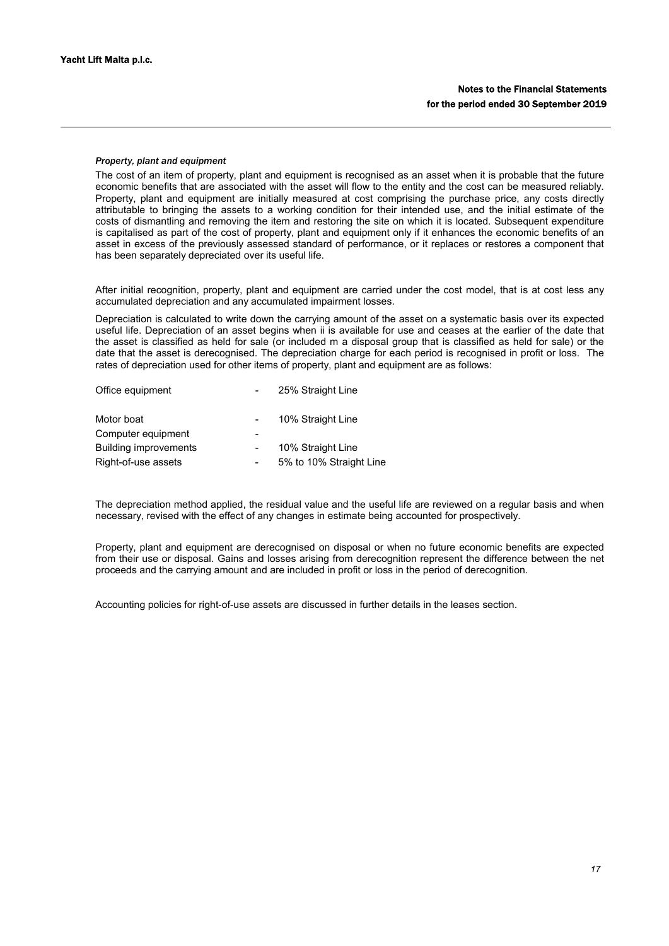## *Property, plant and equipment*

The cost of an item of property, plant and equipment is recognised as an asset when it is probable that the future economic benefits that are associated with the asset will flow to the entity and the cost can be measured reliably. Property, plant and equipment are initially measured at cost comprising the purchase price, any costs directly attributable to bringing the assets to a working condition for their intended use, and the initial estimate of the costs of dismantling and removing the item and restoring the site on which it is located. Subsequent expenditure is capitalised as part of the cost of property, plant and equipment only if it enhances the economic benefits of an asset in excess of the previously assessed standard of performance, or it replaces or restores a component that has been separately depreciated over its useful life.

After initial recognition, property, plant and equipment are carried under the cost model, that is at cost less any accumulated depreciation and any accumulated impairment losses.

Depreciation is calculated to write down the carrying amount of the asset on a systematic basis over its expected useful life. Depreciation of an asset begins when ii is available for use and ceases at the earlier of the date that the asset is classified as held for sale (or included m a disposal group that is classified as held for sale) or the date that the asset is derecognised. The depreciation charge for each period is recognised in profit or loss. The rates of depreciation used for other items of property, plant and equipment are as follows:

| Office equipment             | 25% Straight Line       |
|------------------------------|-------------------------|
| Motor boat                   | 10% Straight Line       |
| Computer equipment           |                         |
| <b>Building improvements</b> | 10% Straight Line       |
| Right-of-use assets          | 5% to 10% Straight Line |
|                              |                         |

The depreciation method applied, the residual value and the useful life are reviewed on a regular basis and when necessary, revised with the effect of any changes in estimate being accounted for prospectively.

Property, plant and equipment are derecognised on disposal or when no future economic benefits are expected from their use or disposal. Gains and losses arising from derecognition represent the difference between the net proceeds and the carrying amount and are included in profit or loss in the period of derecognition.

Accounting policies for right-of-use assets are discussed in further details in the leases section.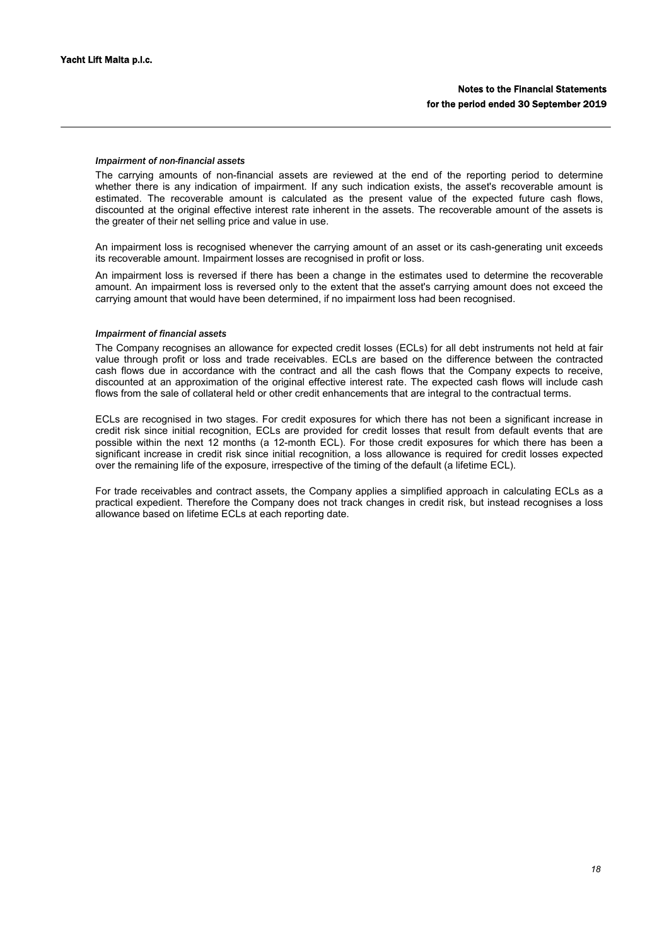## *Impairment of non-financial assets*

The carrying amounts of non-financial assets are reviewed at the end of the reporting period to determine whether there is any indication of impairment. If any such indication exists, the asset's recoverable amount is estimated. The recoverable amount is calculated as the present value of the expected future cash flows, discounted at the original effective interest rate inherent in the assets. The recoverable amount of the assets is the greater of their net selling price and value in use.

An impairment loss is recognised whenever the carrying amount of an asset or its cash-generating unit exceeds its recoverable amount. Impairment losses are recognised in profit or loss.

An impairment loss is reversed if there has been a change in the estimates used to determine the recoverable amount. An impairment loss is reversed only to the extent that the asset's carrying amount does not exceed the carrying amount that would have been determined, if no impairment loss had been recognised.

## *Impairment of financial assets*

The Company recognises an allowance for expected credit losses (ECLs) for all debt instruments not held at fair value through profit or loss and trade receivables. ECLs are based on the difference between the contracted cash flows due in accordance with the contract and all the cash flows that the Company expects to receive, discounted at an approximation of the original effective interest rate. The expected cash flows will include cash flows from the sale of collateral held or other credit enhancements that are integral to the contractual terms.

ECLs are recognised in two stages. For credit exposures for which there has not been a significant increase in credit risk since initial recognition, ECLs are provided for credit losses that result from default events that are possible within the next 12 months (a 12-month ECL). For those credit exposures for which there has been a significant increase in credit risk since initial recognition, a loss allowance is required for credit losses expected over the remaining life of the exposure, irrespective of the timing of the default (a lifetime ECL).

For trade receivables and contract assets, the Company applies a simplified approach in calculating ECLs as a practical expedient. Therefore the Company does not track changes in credit risk, but instead recognises a loss allowance based on lifetime ECLs at each reporting date.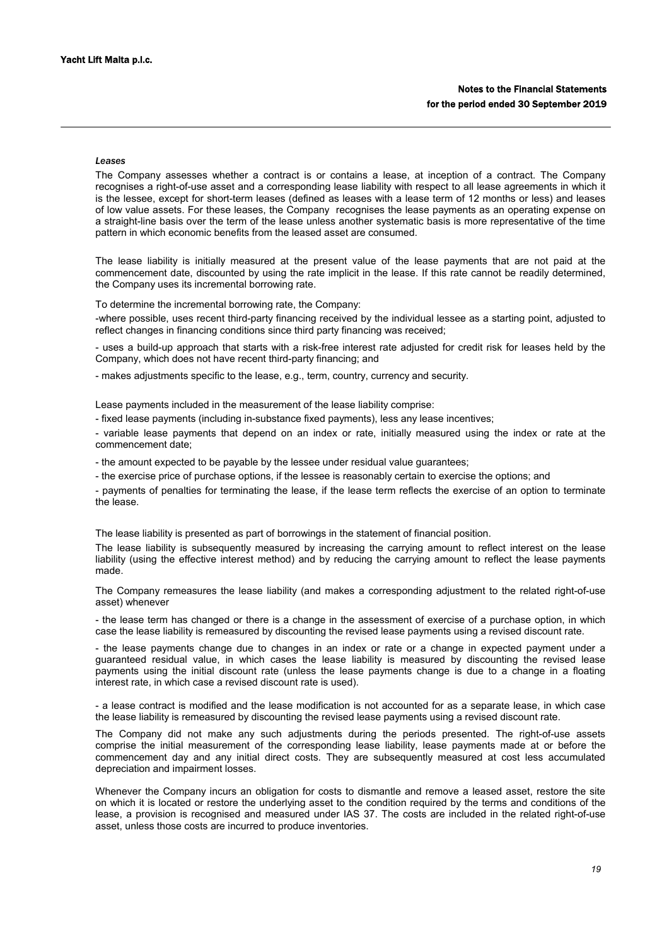#### *Leases*

The Company assesses whether a contract is or contains a lease, at inception of a contract. The Company recognises a right-of-use asset and a corresponding lease liability with respect to all lease agreements in which it is the lessee, except for short-term leases (defined as leases with a lease term of 12 months or less) and leases of low value assets. For these leases, the Company recognises the lease payments as an operating expense on a straight-line basis over the term of the lease unless another systematic basis is more representative of the time pattern in which economic benefits from the leased asset are consumed.

The lease liability is initially measured at the present value of the lease payments that are not paid at the commencement date, discounted by using the rate implicit in the lease. If this rate cannot be readily determined, the Company uses its incremental borrowing rate.

To determine the incremental borrowing rate, the Company:

-where possible, uses recent third-party financing received by the individual lessee as a starting point, adjusted to reflect changes in financing conditions since third party financing was received;

- uses a build-up approach that starts with a risk-free interest rate adjusted for credit risk for leases held by the Company, which does not have recent third-party financing; and

- makes adjustments specific to the lease, e.g., term, country, currency and security.

Lease payments included in the measurement of the lease liability comprise:

- fixed lease payments (including in-substance fixed payments), less any lease incentives;

- variable lease payments that depend on an index or rate, initially measured using the index or rate at the commencement date;

- the amount expected to be payable by the lessee under residual value guarantees;

- the exercise price of purchase options, if the lessee is reasonably certain to exercise the options; and

- payments of penalties for terminating the lease, if the lease term reflects the exercise of an option to terminate the lease.

The lease liability is presented as part of borrowings in the statement of financial position.

The lease liability is subsequently measured by increasing the carrying amount to reflect interest on the lease liability (using the effective interest method) and by reducing the carrying amount to reflect the lease payments made.

The Company remeasures the lease liability (and makes a corresponding adjustment to the related right-of-use asset) whenever

- the lease term has changed or there is a change in the assessment of exercise of a purchase option, in which case the lease liability is remeasured by discounting the revised lease payments using a revised discount rate.

- the lease payments change due to changes in an index or rate or a change in expected payment under a guaranteed residual value, in which cases the lease liability is measured by discounting the revised lease payments using the initial discount rate (unless the lease payments change is due to a change in a floating interest rate, in which case a revised discount rate is used).

- a lease contract is modified and the lease modification is not accounted for as a separate lease, in which case the lease liability is remeasured by discounting the revised lease payments using a revised discount rate.

The Company did not make any such adjustments during the periods presented. The right-of-use assets comprise the initial measurement of the corresponding lease liability, lease payments made at or before the commencement day and any initial direct costs. They are subsequently measured at cost less accumulated depreciation and impairment losses.

Whenever the Company incurs an obligation for costs to dismantle and remove a leased asset, restore the site on which it is located or restore the underlying asset to the condition required by the terms and conditions of the lease, a provision is recognised and measured under IAS 37. The costs are included in the related right-of-use asset, unless those costs are incurred to produce inventories.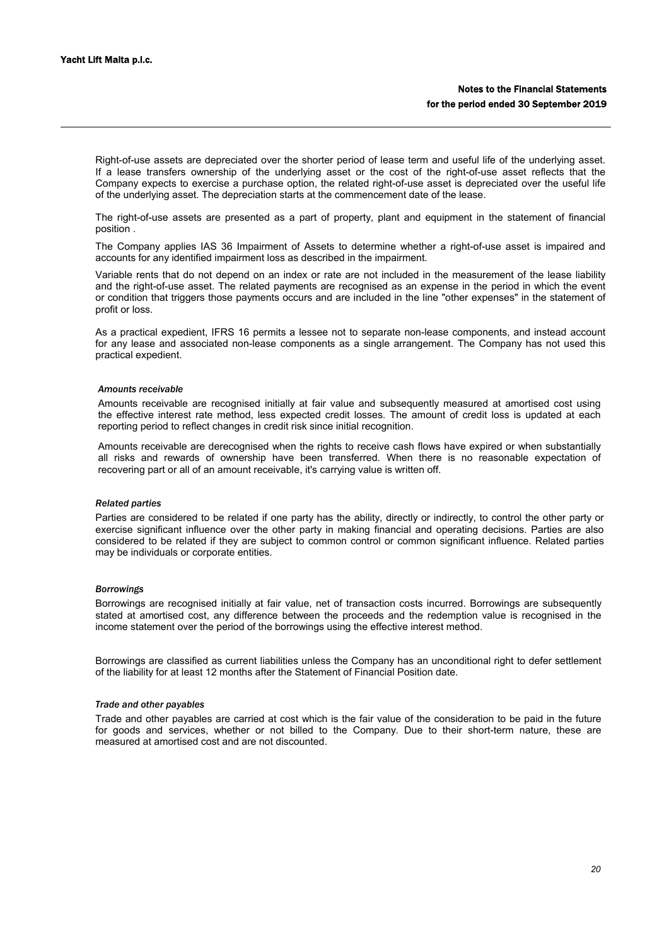Right-of-use assets are depreciated over the shorter period of lease term and useful life of the underlying asset. If a lease transfers ownership of the underlying asset or the cost of the right-of-use asset reflects that the Company expects to exercise a purchase option, the related right-of-use asset is depreciated over the useful life of the underlying asset. The depreciation starts at the commencement date of the lease.

The right-of-use assets are presented as a part of property, plant and equipment in the statement of financial position .

The Company applies IAS 36 Impairment of Assets to determine whether a right-of-use asset is impaired and accounts for any identified impairment loss as described in the impairment.

Variable rents that do not depend on an index or rate are not included in the measurement of the lease liability and the right-of-use asset. The related payments are recognised as an expense in the period in which the event or condition that triggers those payments occurs and are included in the line "other expenses" in the statement of profit or loss.

As a practical expedient, IFRS 16 permits a lessee not to separate non-lease components, and instead account for any lease and associated non-lease components as a single arrangement. The Company has not used this practical expedient.

#### *Amounts receivable*

Amounts receivable are recognised initially at fair value and subsequently measured at amortised cost using the effective interest rate method, less expected credit losses. The amount of credit loss is updated at each reporting period to reflect changes in credit risk since initial recognition.

Amounts receivable are derecognised when the rights to receive cash flows have expired or when substantially all risks and rewards of ownership have been transferred. When there is no reasonable expectation of recovering part or all of an amount receivable, it's carrying value is written off.

#### *Related parties*

Parties are considered to be related if one party has the ability, directly or indirectly, to control the other party or exercise significant influence over the other party in making financial and operating decisions. Parties are also considered to be related if they are subject to common control or common significant influence. Related parties may be individuals or corporate entities.

### *Borrowings*

Borrowings are recognised initially at fair value, net of transaction costs incurred. Borrowings are subsequently stated at amortised cost, any difference between the proceeds and the redemption value is recognised in the income statement over the period of the borrowings using the effective interest method.

Borrowings are classified as current liabilities unless the Company has an unconditional right to defer settlement of the liability for at least 12 months after the Statement of Financial Position date.

## *Trade and other payables*

Trade and other payables are carried at cost which is the fair value of the consideration to be paid in the future for goods and services, whether or not billed to the Company. Due to their short-term nature, these are measured at amortised cost and are not discounted.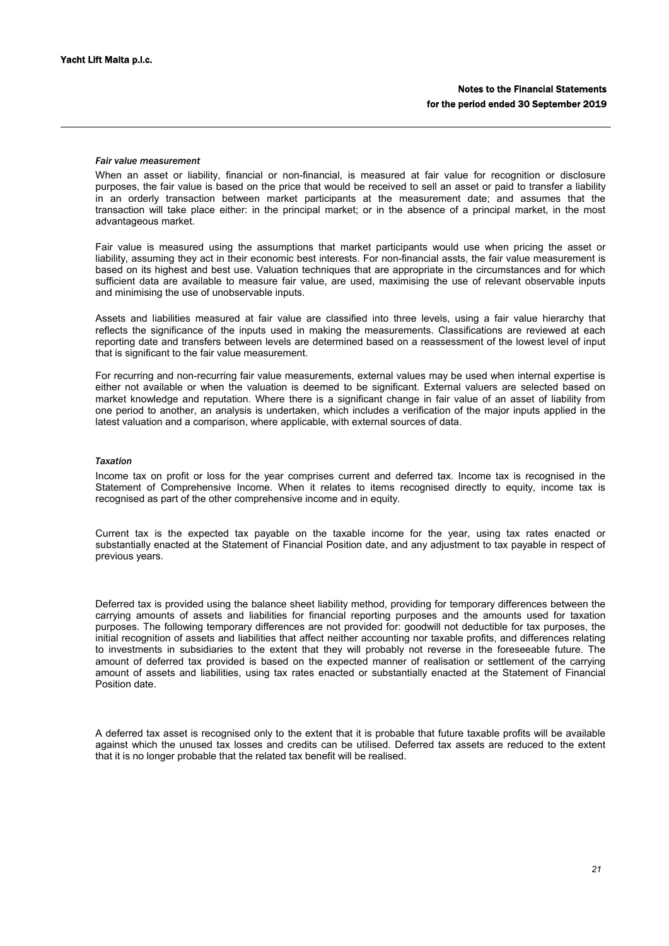#### *Fair value measurement*

When an asset or liability, financial or non-financial, is measured at fair value for recognition or disclosure purposes, the fair value is based on the price that would be received to sell an asset or paid to transfer a liability in an orderly transaction between market participants at the measurement date; and assumes that the transaction will take place either: in the principal market; or in the absence of a principal market, in the most advantageous market.

Fair value is measured using the assumptions that market participants would use when pricing the asset or liability, assuming they act in their economic best interests. For non-financial assts, the fair value measurement is based on its highest and best use. Valuation techniques that are appropriate in the circumstances and for which sufficient data are available to measure fair value, are used, maximising the use of relevant observable inputs and minimising the use of unobservable inputs.

Assets and liabilities measured at fair value are classified into three levels, using a fair value hierarchy that reflects the significance of the inputs used in making the measurements. Classifications are reviewed at each reporting date and transfers between levels are determined based on a reassessment of the lowest level of input that is significant to the fair value measurement.

For recurring and non-recurring fair value measurements, external values may be used when internal expertise is either not available or when the valuation is deemed to be significant. External valuers are selected based on market knowledge and reputation. Where there is a significant change in fair value of an asset of liability from one period to another, an analysis is undertaken, which includes a verification of the major inputs applied in the latest valuation and a comparison, where applicable, with external sources of data.

### *Taxation*

Income tax on profit or loss for the year comprises current and deferred tax. Income tax is recognised in the Statement of Comprehensive Income. When it relates to items recognised directly to equity, income tax is recognised as part of the other comprehensive income and in equity.

Current tax is the expected tax payable on the taxable income for the year, using tax rates enacted or substantially enacted at the Statement of Financial Position date, and any adjustment to tax payable in respect of previous years.

Deferred tax is provided using the balance sheet liability method, providing for temporary differences between the carrying amounts of assets and liabilities for financial reporting purposes and the amounts used for taxation purposes. The following temporary differences are not provided for: goodwill not deductible for tax purposes, the initial recognition of assets and liabilities that affect neither accounting nor taxable profits, and differences relating to investments in subsidiaries to the extent that they will probably not reverse in the foreseeable future. The amount of deferred tax provided is based on the expected manner of realisation or settlement of the carrying amount of assets and liabilities, using tax rates enacted or substantially enacted at the Statement of Financial Position date.

A deferred tax asset is recognised only to the extent that it is probable that future taxable profits will be available against which the unused tax losses and credits can be utilised. Deferred tax assets are reduced to the extent that it is no longer probable that the related tax benefit will be realised.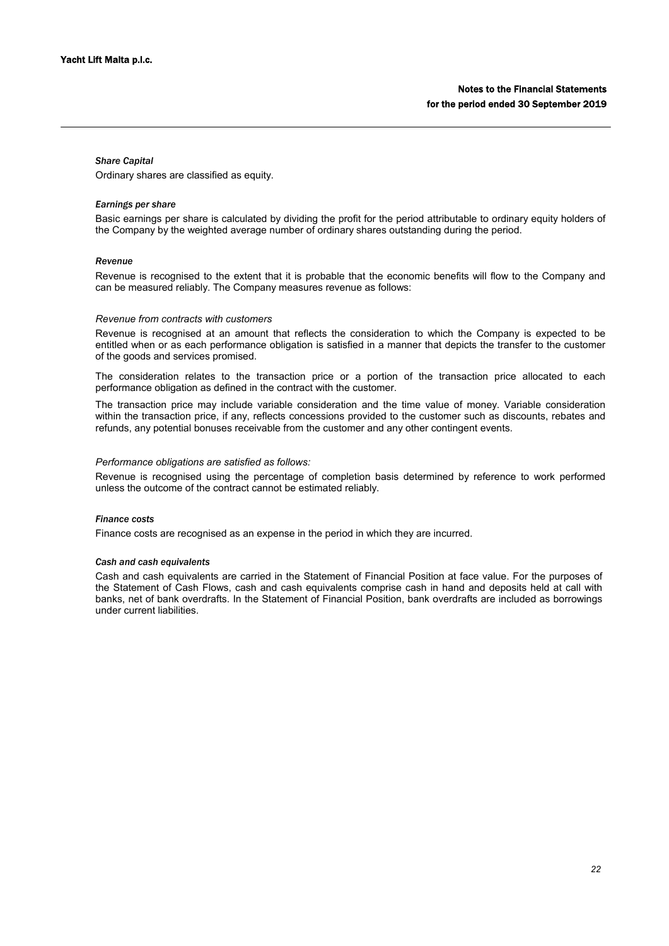## *Share Capital*

Ordinary shares are classified as equity.

## *Earnings per share*

Basic earnings per share is calculated by dividing the profit for the period attributable to ordinary equity holders of the Company by the weighted average number of ordinary shares outstanding during the period.

#### *Revenue*

Revenue is recognised to the extent that it is probable that the economic benefits will flow to the Company and can be measured reliably. The Company measures revenue as follows:

### *Revenue from contracts with customers*

Revenue is recognised at an amount that reflects the consideration to which the Company is expected to be entitled when or as each performance obligation is satisfied in a manner that depicts the transfer to the customer of the goods and services promised.

The consideration relates to the transaction price or a portion of the transaction price allocated to each performance obligation as defined in the contract with the customer.

The transaction price may include variable consideration and the time value of money. Variable consideration within the transaction price, if any, reflects concessions provided to the customer such as discounts, rebates and refunds, any potential bonuses receivable from the customer and any other contingent events.

#### *Performance obligations are satisfied as follows:*

Revenue is recognised using the percentage of completion basis determined by reference to work performed unless the outcome of the contract cannot be estimated reliably.

## *Finance costs*

Finance costs are recognised as an expense in the period in which they are incurred.

# *Cash and cash equivalents*

Cash and cash equivalents are carried in the Statement of Financial Position at face value. For the purposes of the Statement of Cash Flows, cash and cash equivalents comprise cash in hand and deposits held at call with banks, net of bank overdrafts. In the Statement of Financial Position, bank overdrafts are included as borrowings under current liabilities.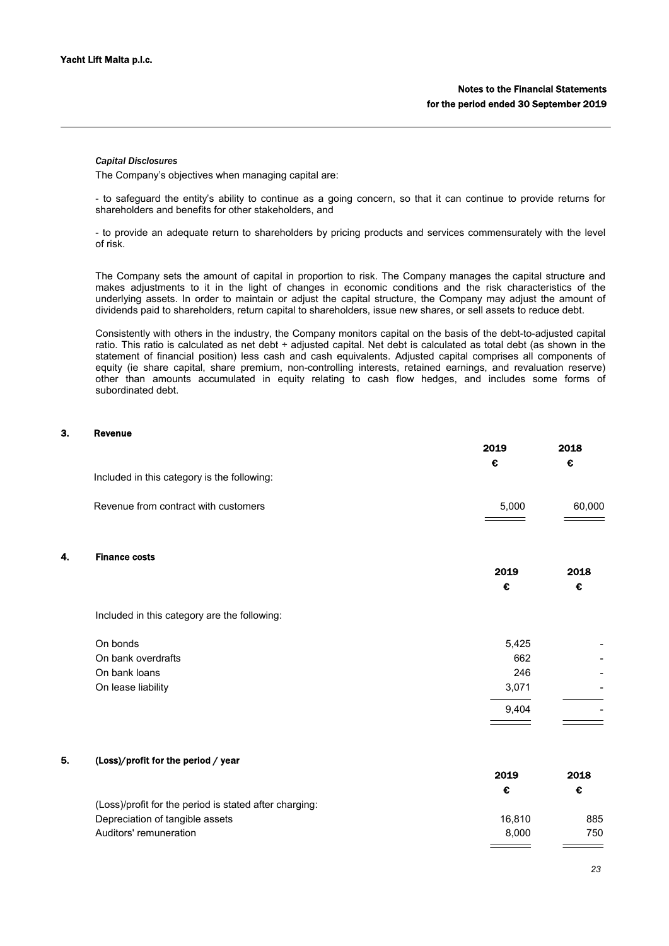#### *Capital Disclosures*

The Company's objectives when managing capital are:

- to safeguard the entity's ability to continue as a going concern, so that it can continue to provide returns for shareholders and benefits for other stakeholders, and

- to provide an adequate return to shareholders by pricing products and services commensurately with the level of risk.

The Company sets the amount of capital in proportion to risk. The Company manages the capital structure and makes adjustments to it in the light of changes in economic conditions and the risk characteristics of the underlying assets. In order to maintain or adjust the capital structure, the Company may adjust the amount of dividends paid to shareholders, return capital to shareholders, issue new shares, or sell assets to reduce debt.

Consistently with others in the industry, the Company monitors capital on the basis of the debt-to-adjusted capital ratio. This ratio is calculated as net debt ÷ adjusted capital. Net debt is calculated as total debt (as shown in the statement of financial position) less cash and cash equivalents. Adjusted capital comprises all components of equity (ie share capital, share premium, non-controlling interests, retained earnings, and revaluation reserve) other than amounts accumulated in equity relating to cash flow hedges, and includes some forms of subordinated debt.

## 3. Revenue

|    |                                              | 2019  | 2018   |
|----|----------------------------------------------|-------|--------|
|    |                                              | €     | €      |
|    | Included in this category is the following:  |       |        |
|    | Revenue from contract with customers         | 5,000 | 60,000 |
| 4. | <b>Finance costs</b>                         |       |        |
|    |                                              | 2019  | 2018   |
|    |                                              | €     | €      |
|    | Included in this category are the following: |       |        |
|    | On bonds                                     | 5,425 |        |
|    | On bank overdrafts                           | 662   |        |
|    | On bank loans                                | 246   |        |
|    | On lease liability                           | 3,071 |        |
|    |                                              | 9.404 |        |

#### 5. (Loss)/profit for the period / year

|                                                        | 2019   | 2018 |
|--------------------------------------------------------|--------|------|
|                                                        | €      |      |
| (Loss)/profit for the period is stated after charging: |        |      |
| Depreciation of tangible assets                        | 16.810 | 885  |
| Auditors' remuneration                                 | 8.000  | 750  |
|                                                        |        |      |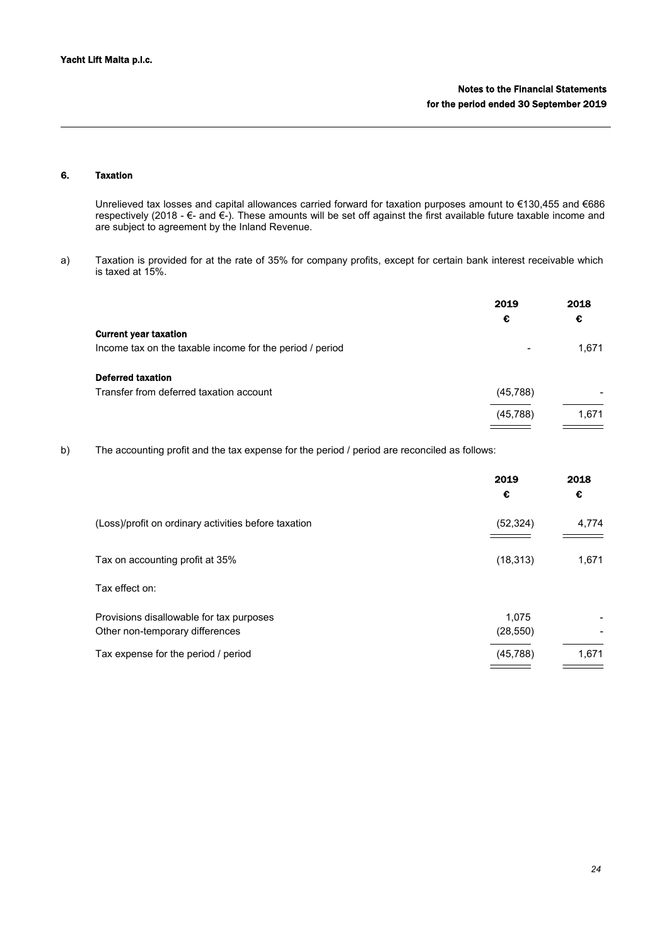# 6. Taxation

Unrelieved tax losses and capital allowances carried forward for taxation purposes amount to €130,455 and €686 respectively (2018 -  $\epsilon$ - and  $\epsilon$ -). These amounts will be set off against the first available future taxable income and are subject to agreement by the Inland Revenue.

a) Taxation is provided for at the rate of 35% for company profits, except for certain bank interest receivable which is taxed at 15%.

|                                                          | 2019<br>€                | 2018<br>€ |
|----------------------------------------------------------|--------------------------|-----------|
| <b>Current year taxation</b>                             |                          |           |
| Income tax on the taxable income for the period / period | $\overline{\phantom{0}}$ | 1,671     |
| <b>Deferred taxation</b>                                 |                          |           |
| Transfer from deferred taxation account                  | (45, 788)                |           |
|                                                          | (45, 788)                | 1,671     |
|                                                          |                          |           |

b) The accounting profit and the tax expense for the period / period are reconciled as follows:

|                                                                             | 2019<br>€          | 2018<br>€ |
|-----------------------------------------------------------------------------|--------------------|-----------|
| (Loss)/profit on ordinary activities before taxation                        | (52, 324)          | 4,774     |
| Tax on accounting profit at 35%                                             | (18, 313)          | 1,671     |
| Tax effect on:                                                              |                    |           |
| Provisions disallowable for tax purposes<br>Other non-temporary differences | 1,075<br>(28, 550) |           |
| Tax expense for the period / period                                         | (45, 788)          | 1,671     |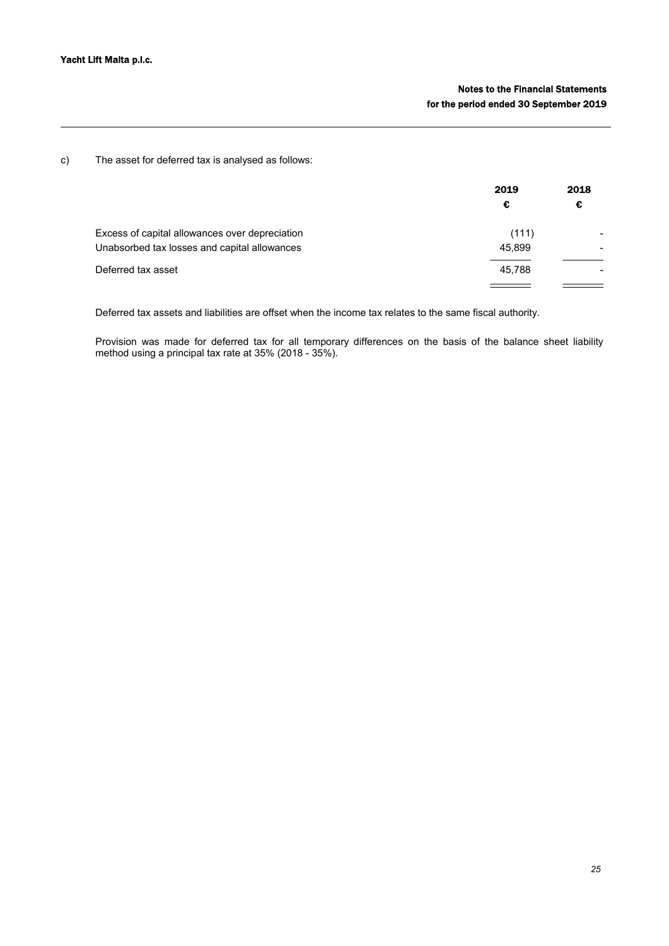c) The asset for deferred tax is analysed as follows:

|                                                | 2019   | 2018 |
|------------------------------------------------|--------|------|
|                                                | €      | -c   |
| Excess of capital allowances over depreciation | (111)  |      |
| Unabsorbed tax losses and capital allowances   | 45,899 |      |
| Deferred tax asset                             | 45.788 |      |
|                                                |        |      |

Deferred tax assets and liabilities are offset when the income tax relates to the same fiscal authority.

Provision was made for deferred tax for all temporary differences on the basis of the balance sheet liability method using a principal tax rate at 35% (2018 - 35%).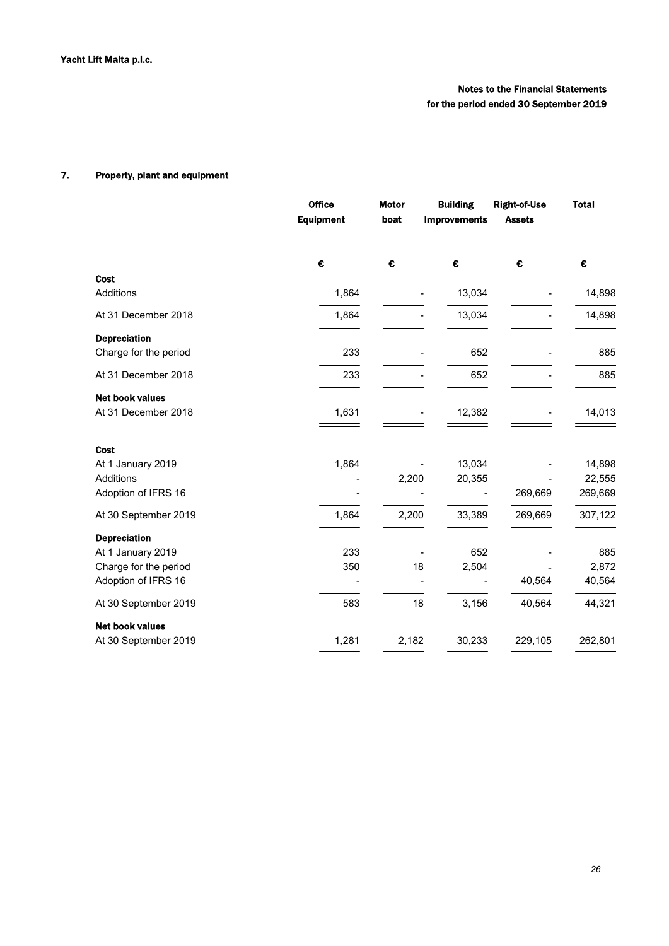# 7. Property, plant and equipment

|                                                                                          | <b>Office</b><br><b>Equipment</b> | <b>Motor</b><br>boat | <b>Building</b><br><b>Improvements</b> | <b>Right-of-Use</b><br><b>Assets</b> | <b>Total</b>                |
|------------------------------------------------------------------------------------------|-----------------------------------|----------------------|----------------------------------------|--------------------------------------|-----------------------------|
|                                                                                          | €                                 | $\epsilon$           | $\mathbf \epsilon$                     | $\pmb{\epsilon}$                     | €                           |
| Cost<br>Additions                                                                        | 1,864                             |                      | 13,034                                 |                                      | 14,898                      |
| At 31 December 2018                                                                      | 1,864                             |                      | 13,034                                 |                                      | 14,898                      |
| <b>Depreciation</b><br>Charge for the period                                             | 233                               |                      | 652                                    |                                      | 885                         |
| At 31 December 2018                                                                      | 233                               |                      | 652                                    |                                      | 885                         |
| <b>Net book values</b><br>At 31 December 2018                                            | 1,631                             |                      | 12,382                                 |                                      | 14,013                      |
| <b>Cost</b><br>At 1 January 2019<br>Additions<br>Adoption of IFRS 16                     | 1,864                             | 2,200                | 13,034<br>20,355                       | 269,669                              | 14,898<br>22,555<br>269,669 |
| At 30 September 2019                                                                     | 1,864                             | 2,200                | 33,389                                 | 269,669                              | 307,122                     |
| <b>Depreciation</b><br>At 1 January 2019<br>Charge for the period<br>Adoption of IFRS 16 | 233<br>350                        | 18                   | 652<br>2,504                           | 40,564                               | 885<br>2,872<br>40,564      |
| At 30 September 2019                                                                     | 583                               | 18                   | 3,156                                  | 40,564                               | 44,321                      |
| <b>Net book values</b><br>At 30 September 2019                                           | 1,281                             | 2,182                | 30,233                                 | 229,105                              | 262,801                     |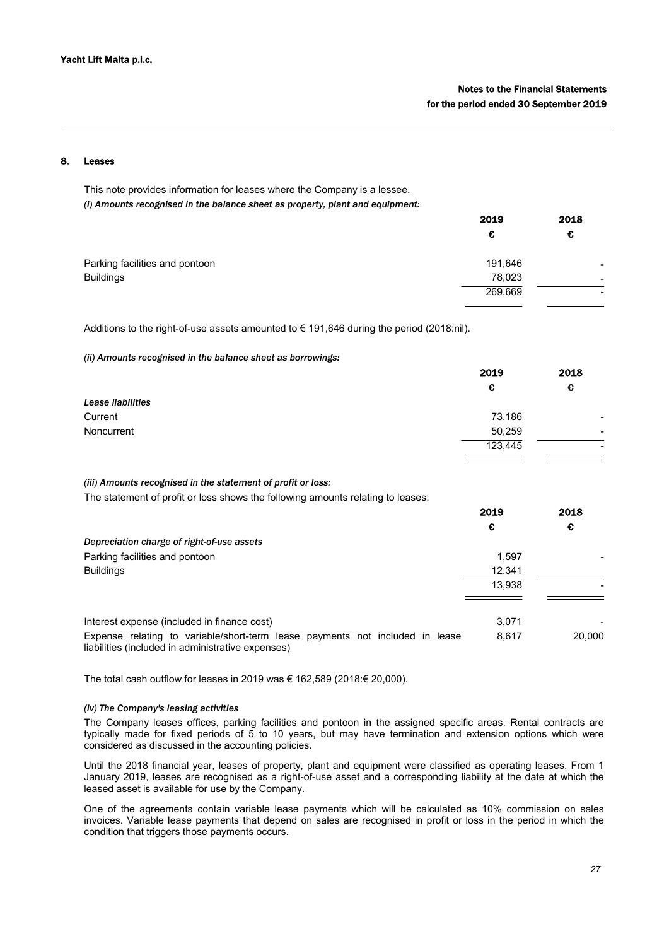## **Leases**

This note provides information for leases where the Company is a lessee. *(i) Amounts recognised in the balance sheet as property, plant and equipment:*

|                                | 2019    | 2018 |
|--------------------------------|---------|------|
|                                | €       | €    |
| Parking facilities and pontoon | 191,646 |      |
| <b>Buildings</b>               | 78,023  | -    |
|                                | 269,669 |      |

Additions to the right-of-use assets amounted to  $\epsilon$  191,646 during the period (2018:nil).

*(ii) Amounts recognised in the balance sheet as borrowings:*

|                   | 2019    | 2018                     |  |
|-------------------|---------|--------------------------|--|
|                   | €       | €                        |  |
| Lease liabilities |         |                          |  |
| Current           | 73,186  | $\overline{\phantom{0}}$ |  |
| Noncurrent        | 50,259  | -                        |  |
|                   | 123,445 | -                        |  |
|                   |         |                          |  |

*(iii) Amounts recognised in the statement of profit or loss:*

The statement of profit or loss shows the following amounts relating to leases:

|                                                                                                                                   | 2019   | 2018   |
|-----------------------------------------------------------------------------------------------------------------------------------|--------|--------|
|                                                                                                                                   | €      | €      |
| Depreciation charge of right-of-use assets                                                                                        |        |        |
| Parking facilities and pontoon                                                                                                    | 1.597  |        |
| <b>Buildings</b>                                                                                                                  | 12.341 |        |
|                                                                                                                                   | 13.938 |        |
| Interest expense (included in finance cost)                                                                                       | 3.071  |        |
| Expense relating to variable/short-term lease payments not included in lease<br>liabilities (included in administrative expenses) | 8.617  | 20,000 |

The total cash outflow for leases in 2019 was € 162,589 (2018:€ 20,000).

## *(iv) The Company's leasing activities*

The Company leases offices, parking facilities and pontoon in the assigned specific areas. Rental contracts are typically made for fixed periods of 5 to 10 years, but may have termination and extension options which were considered as discussed in the accounting policies.

Until the 2018 financial year, leases of property, plant and equipment were classified as operating leases. From 1 January 2019, leases are recognised as a right-of-use asset and a corresponding liability at the date at which the leased asset is available for use by the Company.

One of the agreements contain variable lease payments which will be calculated as 10% commission on sales invoices. Variable lease payments that depend on sales are recognised in profit or loss in the period in which the condition that triggers those payments occurs.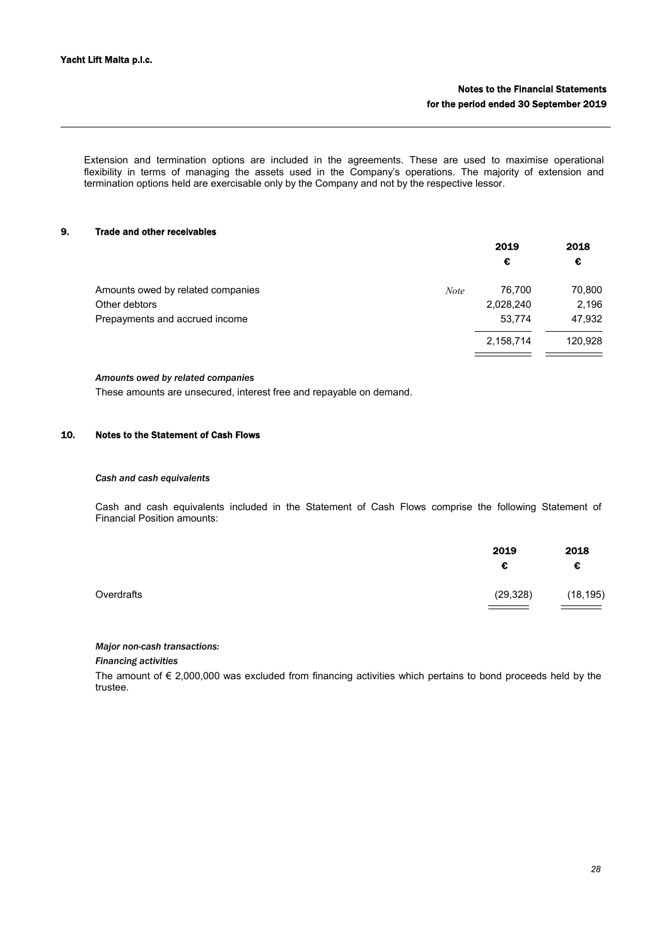Extension and termination options are included in the agreements. These are used to maximise operational flexibility in terms of managing the assets used in the Company's operations. The majority of extension and termination options held are exercisable only by the Company and not by the respective lessor.

## 9. Trade and other receivables

|                                   |             | 2019      | 2018    |
|-----------------------------------|-------------|-----------|---------|
|                                   |             | €         | €       |
| Amounts owed by related companies | <b>Note</b> | 76.700    | 70,800  |
| Other debtors                     |             | 2,028,240 | 2,196   |
| Prepayments and accrued income    |             | 53,774    | 47,932  |
|                                   |             | 2,158,714 | 120,928 |
|                                   |             |           |         |

## *Amounts owed by related companies*

These amounts are unsecured, interest free and repayable on demand.

## 10. Notes to the Statement of Cash Flows

#### *Cash and cash equivalents*

Cash and cash equivalents included in the Statement of Cash Flows comprise the following Statement of Financial Position amounts:

|            | 2019<br>€ | 2018<br>€ |
|------------|-----------|-----------|
| Overdrafts | (29, 328) | (18, 195) |

## *Major non-cash transactions:*

*Financing activities*

The amount of € 2,000,000 was excluded from financing activities which pertains to bond proceeds held by the trustee.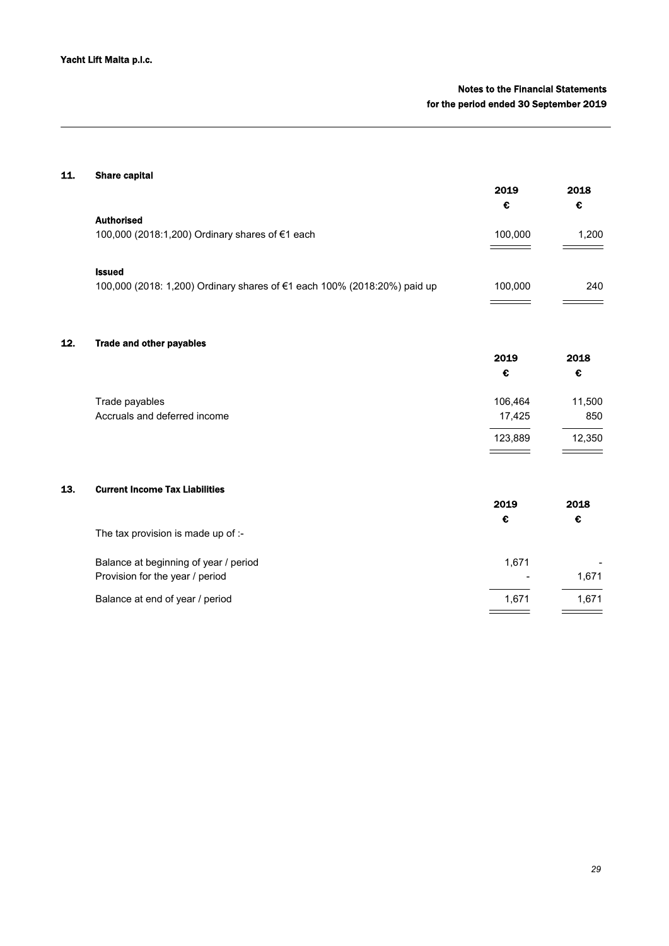# Notes to the Financial Statements for the period ended 30 September 2019

# 11. Share capital

 $12.$ 

|     |                                                                          | 2019    | 2018   |
|-----|--------------------------------------------------------------------------|---------|--------|
|     |                                                                          | €       | €      |
|     | <b>Authorised</b>                                                        |         |        |
|     | 100,000 (2018:1,200) Ordinary shares of €1 each                          | 100,000 | 1,200  |
|     | <b>Issued</b>                                                            |         |        |
|     | 100,000 (2018: 1,200) Ordinary shares of €1 each 100% (2018:20%) paid up | 100,000 | 240    |
|     |                                                                          |         |        |
| 12. | <b>Trade and other payables</b>                                          |         |        |
|     |                                                                          | 2019    | 2018   |
|     |                                                                          | €       | €      |
|     | Trade payables                                                           | 106,464 | 11,500 |
|     | Accruals and deferred income                                             | 17,425  | 850    |
|     |                                                                          | 123,889 | 12,350 |
|     |                                                                          |         |        |
| 13. | <b>Current Income Tax Liabilities</b>                                    |         |        |
|     |                                                                          | 2019    | 2018   |
|     |                                                                          | €       | €      |

| The tax provision is made up of $\sim$ |                          |       |
|----------------------------------------|--------------------------|-------|
| Balance at beginning of year / period  | 1.671                    |       |
| Provision for the year / period        | $\overline{\phantom{a}}$ | 1.671 |
| Balance at end of year / period        | 1.671                    | 1.671 |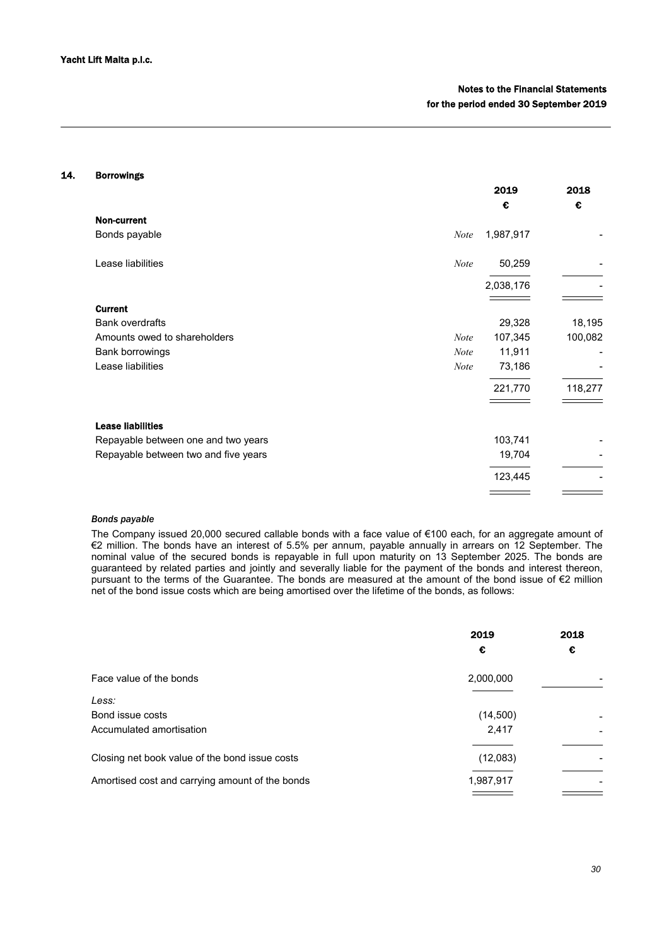## 14. Borrowings

|                                      |             | 2019      | 2018    |
|--------------------------------------|-------------|-----------|---------|
|                                      |             | €         | €       |
| <b>Non-current</b>                   |             |           |         |
| Bonds payable                        | <b>Note</b> | 1,987,917 |         |
| Lease liabilities                    | <b>Note</b> | 50,259    |         |
|                                      |             | 2,038,176 |         |
| <b>Current</b>                       |             |           |         |
| <b>Bank overdrafts</b>               |             | 29,328    | 18,195  |
| Amounts owed to shareholders         | Note        | 107,345   | 100,082 |
| Bank borrowings                      | <b>Note</b> | 11,911    |         |
| Lease liabilities                    | <b>Note</b> | 73,186    |         |
|                                      |             | 221,770   | 118,277 |
| <b>Lease liabilities</b>             |             |           |         |
| Repayable between one and two years  |             | 103,741   |         |
| Repayable between two and five years |             | 19,704    |         |
|                                      |             | 123,445   |         |
|                                      |             |           |         |

## *Bonds payable*

The Company issued 20,000 secured callable bonds with a face value of €100 each, for an aggregate amount of €2 million. The bonds have an interest of 5.5% per annum, payable annually in arrears on 12 September. The nominal value of the secured bonds is repayable in full upon maturity on 13 September 2025. The bonds are guaranteed by related parties and jointly and severally liable for the payment of the bonds and interest thereon, pursuant to the terms of the Guarantee. The bonds are measured at the amount of the bond issue of €2 million net of the bond issue costs which are being amortised over the lifetime of the bonds, as follows:

|                                                 | 2019      | 2018 |
|-------------------------------------------------|-----------|------|
|                                                 | €         | €    |
| Face value of the bonds                         | 2,000,000 |      |
| Less:                                           |           |      |
| Bond issue costs                                | (14,500)  |      |
| Accumulated amortisation                        | 2,417     |      |
| Closing net book value of the bond issue costs  | (12,083)  |      |
| Amortised cost and carrying amount of the bonds | 1,987,917 |      |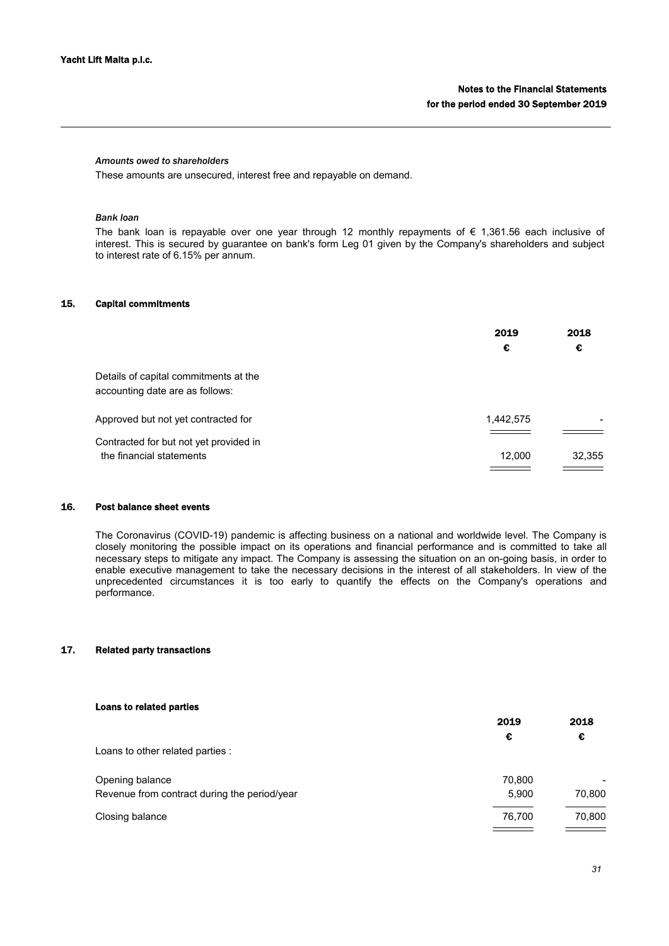## *Amounts owed to shareholders*

These amounts are unsecured, interest free and repayable on demand.

# *Bank loan*

The bank loan is repayable over one year through 12 monthly repayments of  $\epsilon$  1,361.56 each inclusive of interest. This is secured by guarantee on bank's form Leg 01 given by the Company's shareholders and subject to interest rate of 6.15% per annum.

# 15. Capital commitments

|                                                                          | 2019<br>€ | 2018<br>€ |
|--------------------------------------------------------------------------|-----------|-----------|
| Details of capital commitments at the<br>accounting date are as follows: |           |           |
| Approved but not yet contracted for                                      | 1,442,575 |           |
| Contracted for but not yet provided in<br>the financial statements       | 12,000    | 32,355    |

#### 16. Post balance sheet events

The Coronavirus (COVID-19) pandemic is affecting business on a national and worldwide level. The Company is closely monitoring the possible impact on its operations and financial performance and is committed to take all necessary steps to mitigate any impact. The Company is assessing the situation on an on-going basis, in order to enable executive management to take the necessary decisions in the interest of all stakeholders. In view of the unprecedented circumstances it is too early to quantify the effects on the Company's operations and performance.

## 17. Related party transactions

| Loans to related parties                     |        |        |
|----------------------------------------------|--------|--------|
|                                              | 2019   | 2018   |
|                                              | €      | €      |
| Loans to other related parties :             |        |        |
| Opening balance                              | 70,800 |        |
| Revenue from contract during the period/year | 5.900  | 70,800 |
| Closing balance                              | 76,700 | 70,800 |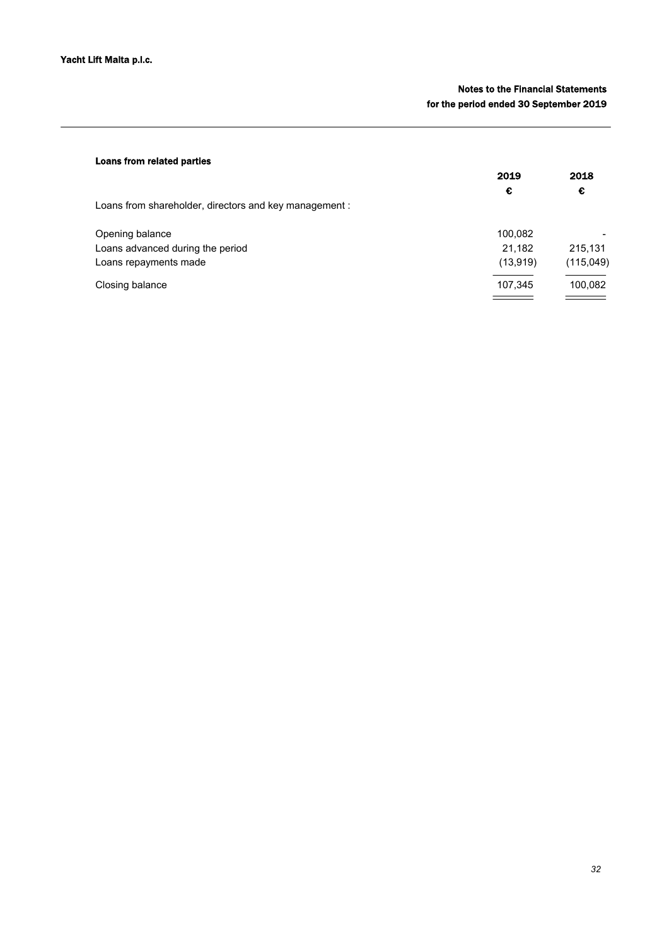# Notes to the Financial Statements for the period ended 30 September 2019

| Loans from related parties                            |           |            |
|-------------------------------------------------------|-----------|------------|
|                                                       | 2019      | 2018       |
|                                                       | €         | €          |
| Loans from shareholder, directors and key management: |           |            |
| Opening balance                                       | 100,082   |            |
| Loans advanced during the period                      | 21,182    | 215,131    |
| Loans repayments made                                 | (13, 919) | (115, 049) |
| Closing balance                                       | 107,345   | 100,082    |
|                                                       |           |            |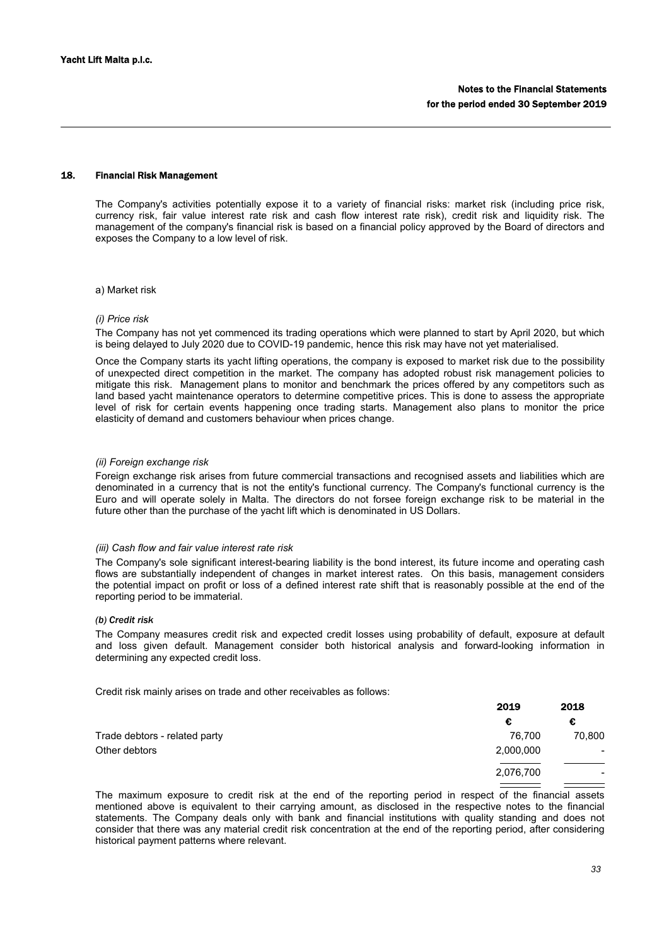## 18. Financial Risk Management

The Company's activities potentially expose it to a variety of financial risks: market risk (including price risk, currency risk, fair value interest rate risk and cash flow interest rate risk), credit risk and liquidity risk. The management of the company's financial risk is based on a financial policy approved by the Board of directors and exposes the Company to a low level of risk.

### a) Market risk

## *(i) Price risk*

The Company has not yet commenced its trading operations which were planned to start by April 2020, but which is being delayed to July 2020 due to COVID-19 pandemic, hence this risk may have not yet materialised.

Once the Company starts its yacht lifting operations, the company is exposed to market risk due to the possibility of unexpected direct competition in the market. The company has adopted robust risk management policies to mitigate this risk. Management plans to monitor and benchmark the prices offered by any competitors such as land based yacht maintenance operators to determine competitive prices. This is done to assess the appropriate level of risk for certain events happening once trading starts. Management also plans to monitor the price elasticity of demand and customers behaviour when prices change.

## *(ii) Foreign exchange risk*

Foreign exchange risk arises from future commercial transactions and recognised assets and liabilities which are denominated in a currency that is not the entity's functional currency. The Company's functional currency is the Euro and will operate solely in Malta. The directors do not forsee foreign exchange risk to be material in the future other than the purchase of the yacht lift which is denominated in US Dollars.

## *(iii) Cash flow and fair value interest rate risk*

The Company's sole significant interest-bearing liability is the bond interest, its future income and operating cash flows are substantially independent of changes in market interest rates. On this basis, management considers the potential impact on profit or loss of a defined interest rate shift that is reasonably possible at the end of the reporting period to be immaterial.

#### *(b) Credit risk*

The Company measures credit risk and expected credit losses using probability of default, exposure at default and loss given default. Management consider both historical analysis and forward-looking information in determining any expected credit loss.

Credit risk mainly arises on trade and other receivables as follows:

| 2019      | 2018            |
|-----------|-----------------|
| €         | €               |
| 76.700    | 70,800          |
| 2,000,000 | $\qquad \qquad$ |
| 2,076,700 | $\qquad \qquad$ |
|           |                 |

The maximum exposure to credit risk at the end of the reporting period in respect of the financial assets mentioned above is equivalent to their carrying amount, as disclosed in the respective notes to the financial statements. The Company deals only with bank and financial institutions with quality standing and does not consider that there was any material credit risk concentration at the end of the reporting period, after considering historical payment patterns where relevant.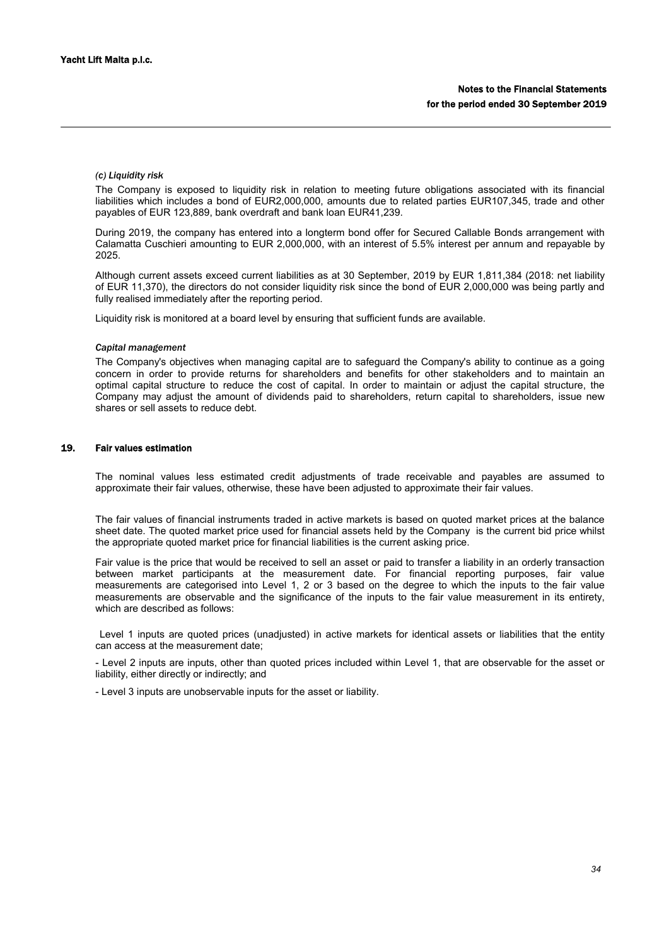## *(c) Liquidity risk*

The Company is exposed to liquidity risk in relation to meeting future obligations associated with its financial liabilities which includes a bond of EUR2,000,000, amounts due to related parties EUR107,345, trade and other payables of EUR 123,889, bank overdraft and bank loan EUR41,239.

During 2019, the company has entered into a longterm bond offer for Secured Callable Bonds arrangement with Calamatta Cuschieri amounting to EUR 2,000,000, with an interest of 5.5% interest per annum and repayable by 2025.

Although current assets exceed current liabilities as at 30 September, 2019 by EUR 1,811,384 (2018: net liability of EUR 11,370), the directors do not consider liquidity risk since the bond of EUR 2,000,000 was being partly and fully realised immediately after the reporting period.

Liquidity risk is monitored at a board level by ensuring that sufficient funds are available.

#### *Capital management*

The Company's objectives when managing capital are to safeguard the Company's ability to continue as a going concern in order to provide returns for shareholders and benefits for other stakeholders and to maintain an optimal capital structure to reduce the cost of capital. In order to maintain or adjust the capital structure, the Company may adjust the amount of dividends paid to shareholders, return capital to shareholders, issue new shares or sell assets to reduce debt.

## 19. Fair values estimation

The nominal values less estimated credit adjustments of trade receivable and payables are assumed to approximate their fair values, otherwise, these have been adjusted to approximate their fair values.

The fair values of financial instruments traded in active markets is based on quoted market prices at the balance sheet date. The quoted market price used for financial assets held by the Company is the current bid price whilst the appropriate quoted market price for financial liabilities is the current asking price.

Fair value is the price that would be received to sell an asset or paid to transfer a liability in an orderly transaction between market participants at the measurement date. For financial reporting purposes, fair value measurements are categorised into Level 1, 2 or 3 based on the degree to which the inputs to the fair value measurements are observable and the significance of the inputs to the fair value measurement in its entirety, which are described as follows:

 Level 1 inputs are quoted prices (unadjusted) in active markets for identical assets or liabilities that the entity can access at the measurement date;

- Level 2 inputs are inputs, other than quoted prices included within Level 1, that are observable for the asset or liability, either directly or indirectly; and

- Level 3 inputs are unobservable inputs for the asset or liability.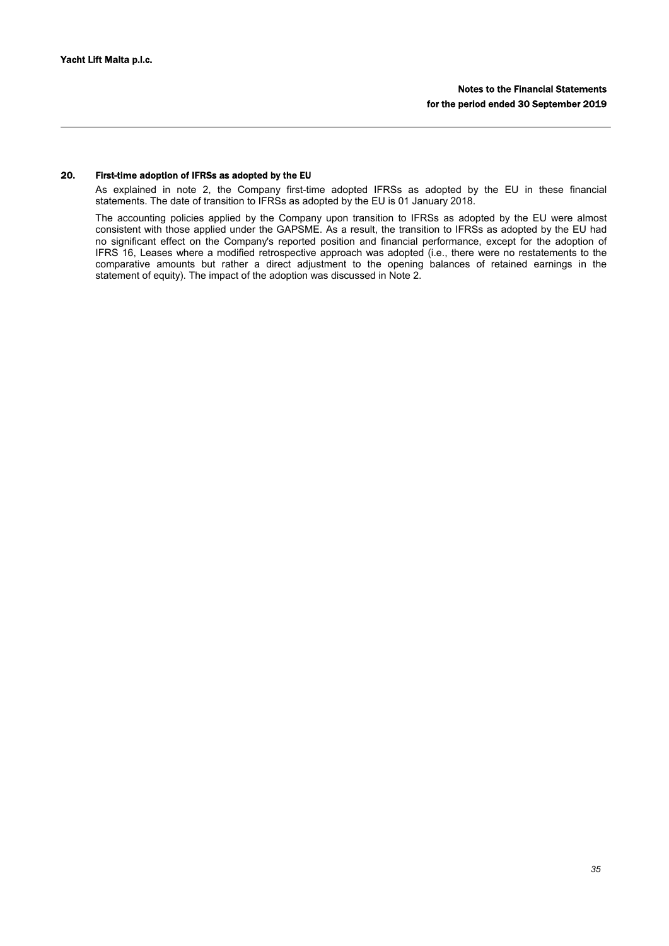# 20. First-time adoption of IFRSs as adopted by the EU

As explained in note 2, the Company first-time adopted IFRSs as adopted by the EU in these financial statements. The date of transition to IFRSs as adopted by the EU is 01 January 2018.

The accounting policies applied by the Company upon transition to IFRSs as adopted by the EU were almost consistent with those applied under the GAPSME. As a result, the transition to IFRSs as adopted by the EU had no significant effect on the Company's reported position and financial performance, except for the adoption of IFRS 16, Leases where a modified retrospective approach was adopted (i.e., there were no restatements to the comparative amounts but rather a direct adjustment to the opening balances of retained earnings in the statement of equity). The impact of the adoption was discussed in Note 2.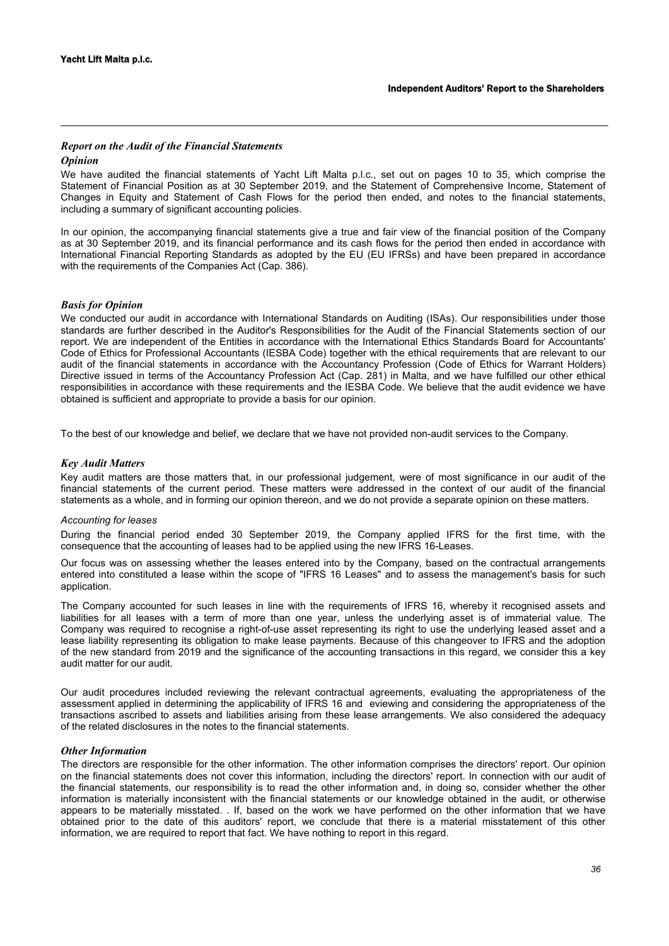## *Report on the Audit of the Financial Statements*

## *Opinion*

We have audited the financial statements of Yacht Lift Malta p.l.c., set out on pages 10 to 35, which comprise the Statement of Financial Position as at 30 September 2019, and the Statement of Comprehensive Income, Statement of Changes in Equity and Statement of Cash Flows for the period then ended, and notes to the financial statements, including a summary of significant accounting policies.

In our opinion, the accompanying financial statements give a true and fair view of the financial position of the Company as at 30 September 2019, and its financial performance and its cash flows for the period then ended in accordance with International Financial Reporting Standards as adopted by the EU (EU IFRSs) and have been prepared in accordance with the requirements of the Companies Act (Cap. 386).

# *Basis for Opinion*

We conducted our audit in accordance with International Standards on Auditing (ISAs). Our responsibilities under those standards are further described in the Auditor's Responsibilities for the Audit of the Financial Statements section of our report. We are independent of the Entities in accordance with the International Ethics Standards Board for Accountants' Code of Ethics for Professional Accountants (IESBA Code) together with the ethical requirements that are relevant to our audit of the financial statements in accordance with the Accountancy Profession (Code of Ethics for Warrant Holders) Directive issued in terms of the Accountancy Profession Act (Cap. 281) in Malta, and we have fulfilled our other ethical responsibilities in accordance with these requirements and the IESBA Code. We believe that the audit evidence we have obtained is sufficient and appropriate to provide a basis for our opinion.

To the best of our knowledge and belief, we declare that we have not provided non-audit services to the Company.

## *Key Audit Matters*

Key audit matters are those matters that, in our professional judgement, were of most significance in our audit of the financial statements of the current period. These matters were addressed in the context of our audit of the financial statements as a whole, and in forming our opinion thereon, and we do not provide a separate opinion on these matters.

## *Accounting for leases*

During the financial period ended 30 September 2019, the Company applied IFRS for the first time, with the consequence that the accounting of leases had to be applied using the new IFRS 16-Leases.

Our focus was on assessing whether the leases entered into by the Company, based on the contractual arrangements entered into constituted a lease within the scope of "IFRS 16 Leases" and to assess the management's basis for such application.

The Company accounted for such leases in line with the requirements of IFRS 16, whereby it recognised assets and liabilities for all leases with a term of more than one year, unless the underlying asset is of immaterial value. The Company was required to recognise a right-of-use asset representing its right to use the underlying leased asset and a lease liability representing its obligation to make lease payments. Because of this changeover to IFRS and the adoption of the new standard from 2019 and the significance of the accounting transactions in this regard, we consider this a key audit matter for our audit.

Our audit procedures included reviewing the relevant contractual agreements, evaluating the appropriateness of the assessment applied in determining the applicability of IFRS 16 and eviewing and considering the appropriateness of the transactions ascribed to assets and liabilities arising from these lease arrangements. We also considered the adequacy of the related disclosures in the notes to the financial statements.

#### *Other Information*

The directors are responsible for the other information. The other information comprises the directors' report. Our opinion on the financial statements does not cover this information, including the directors' report. In connection with our audit of the financial statements, our responsibility is to read the other information and, in doing so, consider whether the other information is materially inconsistent with the financial statements or our knowledge obtained in the audit, or otherwise appears to be materially misstated. . If, based on the work we have performed on the other information that we have obtained prior to the date of this auditors' report, we conclude that there is a material misstatement of this other information, we are required to report that fact. We have nothing to report in this regard.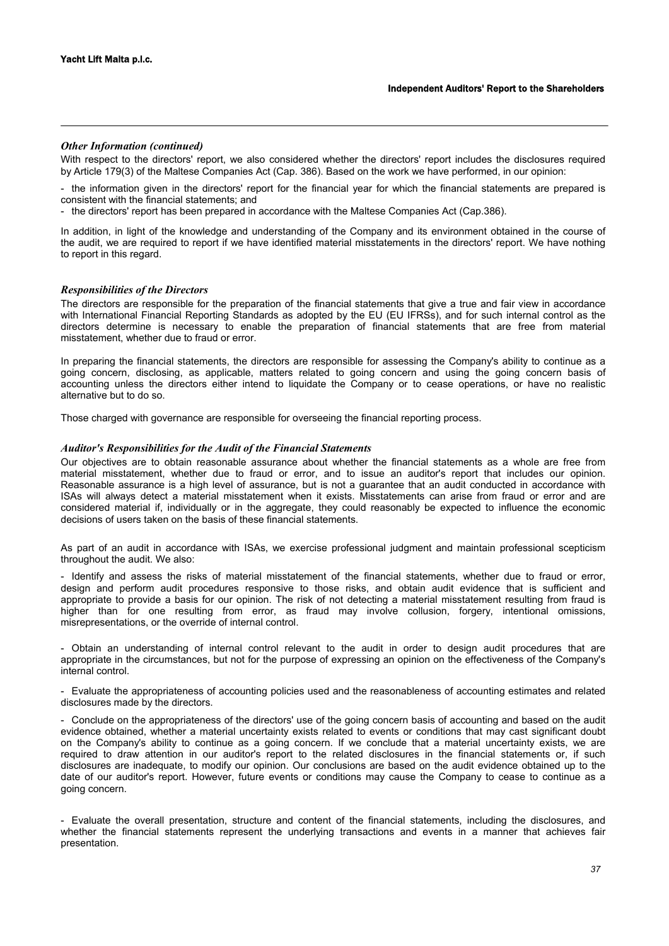## *Other Information (continued)*

With respect to the directors' report, we also considered whether the directors' report includes the disclosures required by Article 179(3) of the Maltese Companies Act (Cap. 386). Based on the work we have performed, in our opinion:

- the information given in the directors' report for the financial year for which the financial statements are prepared is consistent with the financial statements; and

- the directors' report has been prepared in accordance with the Maltese Companies Act (Cap.386).

In addition, in light of the knowledge and understanding of the Company and its environment obtained in the course of the audit, we are required to report if we have identified material misstatements in the directors' report. We have nothing to report in this regard.

## *Responsibilities of the Directors*

The directors are responsible for the preparation of the financial statements that give a true and fair view in accordance with International Financial Reporting Standards as adopted by the EU (EU IFRSs), and for such internal control as the directors determine is necessary to enable the preparation of financial statements that are free from material misstatement, whether due to fraud or error.

In preparing the financial statements, the directors are responsible for assessing the Company's ability to continue as a going concern, disclosing, as applicable, matters related to going concern and using the going concern basis of accounting unless the directors either intend to liquidate the Company or to cease operations, or have no realistic alternative but to do so.

Those charged with governance are responsible for overseeing the financial reporting process.

## *Auditor's Responsibilities for the Audit of the Financial Statements*

Our objectives are to obtain reasonable assurance about whether the financial statements as a whole are free from material misstatement, whether due to fraud or error, and to issue an auditor's report that includes our opinion. Reasonable assurance is a high level of assurance, but is not a guarantee that an audit conducted in accordance with ISAs will always detect a material misstatement when it exists. Misstatements can arise from fraud or error and are considered material if, individually or in the aggregate, they could reasonably be expected to influence the economic decisions of users taken on the basis of these financial statements.

As part of an audit in accordance with ISAs, we exercise professional judgment and maintain professional scepticism throughout the audit. We also:

- Identify and assess the risks of material misstatement of the financial statements, whether due to fraud or error, design and perform audit procedures responsive to those risks, and obtain audit evidence that is sufficient and appropriate to provide a basis for our opinion. The risk of not detecting a material misstatement resulting from fraud is higher than for one resulting from error, as fraud may involve collusion, forgery, intentional omissions, misrepresentations, or the override of internal control.

- Obtain an understanding of internal control relevant to the audit in order to design audit procedures that are appropriate in the circumstances, but not for the purpose of expressing an opinion on the effectiveness of the Company's internal control.

- Evaluate the appropriateness of accounting policies used and the reasonableness of accounting estimates and related disclosures made by the directors.

- Conclude on the appropriateness of the directors' use of the going concern basis of accounting and based on the audit evidence obtained, whether a material uncertainty exists related to events or conditions that may cast significant doubt on the Company's ability to continue as a going concern. If we conclude that a material uncertainty exists, we are required to draw attention in our auditor's report to the related disclosures in the financial statements or, if such disclosures are inadequate, to modify our opinion. Our conclusions are based on the audit evidence obtained up to the date of our auditor's report. However, future events or conditions may cause the Company to cease to continue as a going concern.

- Evaluate the overall presentation, structure and content of the financial statements, including the disclosures, and whether the financial statements represent the underlying transactions and events in a manner that achieves fair presentation.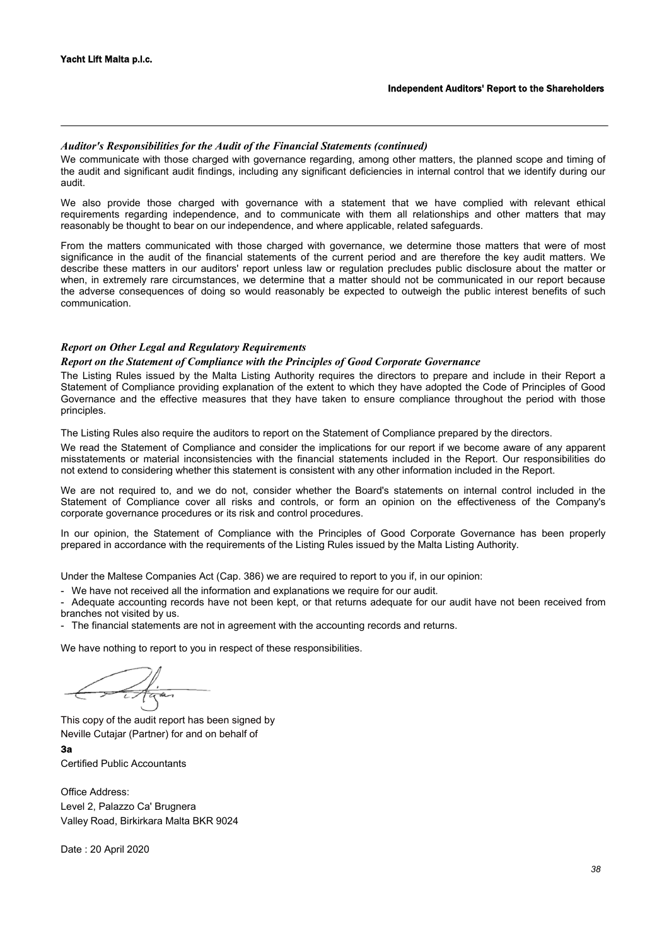## *Auditor's Responsibilities for the Audit of the Financial Statements (continued)*

We communicate with those charged with governance regarding, among other matters, the planned scope and timing of the audit and significant audit findings, including any significant deficiencies in internal control that we identify during our audit.

We also provide those charged with governance with a statement that we have complied with relevant ethical requirements regarding independence, and to communicate with them all relationships and other matters that may reasonably be thought to bear on our independence, and where applicable, related safeguards.

From the matters communicated with those charged with governance, we determine those matters that were of most significance in the audit of the financial statements of the current period and are therefore the key audit matters. We describe these matters in our auditors' report unless law or regulation precludes public disclosure about the matter or when, in extremely rare circumstances, we determine that a matter should not be communicated in our report because the adverse consequences of doing so would reasonably be expected to outweigh the public interest benefits of such communication.

## *Report on Other Legal and Regulatory Requirements*

## *Report on the Statement of Compliance with the Principles of Good Corporate Governance*

The Listing Rules issued by the Malta Listing Authority requires the directors to prepare and include in their Report a Statement of Compliance providing explanation of the extent to which they have adopted the Code of Principles of Good Governance and the effective measures that they have taken to ensure compliance throughout the period with those principles.

The Listing Rules also require the auditors to report on the Statement of Compliance prepared by the directors.

We read the Statement of Compliance and consider the implications for our report if we become aware of any apparent misstatements or material inconsistencies with the financial statements included in the Report. Our responsibilities do not extend to considering whether this statement is consistent with any other information included in the Report.

We are not required to, and we do not, consider whether the Board's statements on internal control included in the Statement of Compliance cover all risks and controls, or form an opinion on the effectiveness of the Company's corporate governance procedures or its risk and control procedures.

In our opinion, the Statement of Compliance with the Principles of Good Corporate Governance has been properly prepared in accordance with the requirements of the Listing Rules issued by the Malta Listing Authority.

Under the Maltese Companies Act (Cap. 386) we are required to report to you if, in our opinion:

- We have not received all the information and explanations we require for our audit.

- Adequate accounting records have not been kept, or that returns adequate for our audit have not been received from branches not visited by us.

- The financial statements are not in agreement with the accounting records and returns.

We have nothing to report to you in respect of these responsibilities.

This copy of the audit report has been signed by Neville Cutajar (Partner) for and on behalf of

## 3a

Certified Public Accountants

Office Address: Level 2, Palazzo Ca' Brugnera Valley Road, Birkirkara Malta BKR 9024

Date : 20 April 2020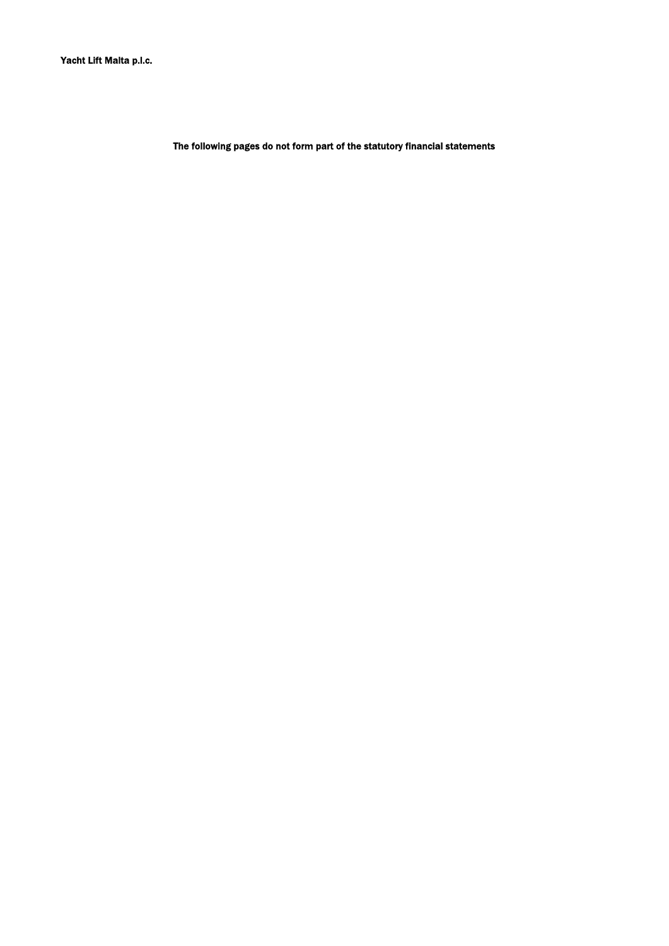The following pages do not form part of the statutory financial statements